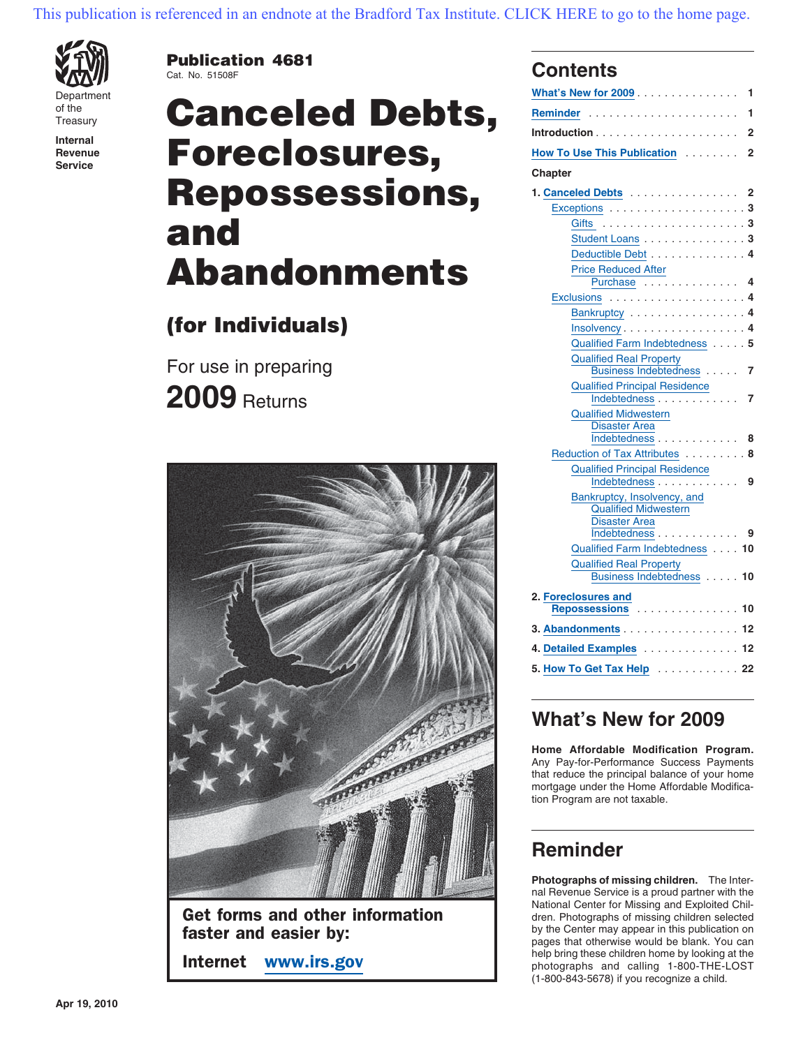

**Publication 4681** Cat. No. 51508F **Contents**

# Department **What's New for 2009** ............... **<sup>1</sup>** of the **Reminder** ...................... **<sup>1</sup>** Treasury **Canceled Debts, Introduction** ..................... **<sup>2</sup> Internal Revenue Foreclosures, How To Use This Publication** ......... 2  $\mathsf{Repossessions}$  . and **Abandonments**

## **(for Individuals)**

For use in preparing **2009** Returns



Get forms and other information<br>  $\begin{array}{c} \text{Gen. Photographic of missing children selected} \\ \text{by the Center may appear in this publication on} \end{array}$ **faster and easier by: pages that otherwise would be blank.** You can

| What's Ne <mark>w for 2009</mark><br>1                 |    |  |  |  |  |
|--------------------------------------------------------|----|--|--|--|--|
|                                                        | 1  |  |  |  |  |
| .<br>$Introduction \dots$                              | 2  |  |  |  |  |
| How To Use This Publication                            | 2  |  |  |  |  |
| Chapter                                                |    |  |  |  |  |
| <b>1. Canceled Debts</b>                               | 2  |  |  |  |  |
|                                                        |    |  |  |  |  |
|                                                        |    |  |  |  |  |
| Student Loans 3                                        |    |  |  |  |  |
| Deductible Debt 4                                      |    |  |  |  |  |
| <b>Price Reduced After</b>                             |    |  |  |  |  |
| Purchase 4                                             |    |  |  |  |  |
| Exclusions $\dots \dots \dots \dots \dots \dots \dots$ |    |  |  |  |  |
| Bankruptcy 4                                           |    |  |  |  |  |
| Insolvency4                                            |    |  |  |  |  |
| Qualified Farm Indebtedness 5                          |    |  |  |  |  |
| <b>Qualified Real Property</b>                         |    |  |  |  |  |
| Business Indebtedness                                  | 7  |  |  |  |  |
| <b>Qualified Principal Residence</b>                   |    |  |  |  |  |
| Indebtedness<br><b>Qualified Midwestern</b>            | 7  |  |  |  |  |
| <b>Disaster Area</b>                                   |    |  |  |  |  |
| Indebtedness                                           | 8  |  |  |  |  |
| Reduction of Tax Attributes                            | 8  |  |  |  |  |
| Qualified Principal Residence<br>Indebtedness          |    |  |  |  |  |
|                                                        | 9  |  |  |  |  |
| Bankruptcy, Insolvency, and                            |    |  |  |  |  |
| <b>Qualified Midwestern</b><br><b>Disaster Area</b>    |    |  |  |  |  |
| <u>Indebtedness</u>                                    | 9  |  |  |  |  |
| Qualified Farm Indebtedness                            | 10 |  |  |  |  |
| <b>Qualified Real Property</b>                         |    |  |  |  |  |
| Business Indebtedness                                  | 10 |  |  |  |  |
| 2. Foreclosures and                                    |    |  |  |  |  |
| Repossessions                                          | 10 |  |  |  |  |
| 3. Abandonments                                        | 12 |  |  |  |  |
| 4. Detailed Examples 12                                |    |  |  |  |  |
|                                                        | 22 |  |  |  |  |
| 5. How To Get Tax Help <b>Substitution</b>             |    |  |  |  |  |

## **What's New for 2009**

**Home Affordable Modification Program.** Any Pay-for-Performance Success Payments that reduce the principal balance of your home mortgage under the Home Affordable Modification Program are not taxable.

## **Reminder**

**Photographs of missing children.** The Internal Revenue Service is a proud partner with the National Center for Missing and Exploited Chil**help bring these children home by looking at the Internet WWW.irs.gov photographs and calling 1-800-THE-LOST** (1-800-843-5678) if you recognize a child.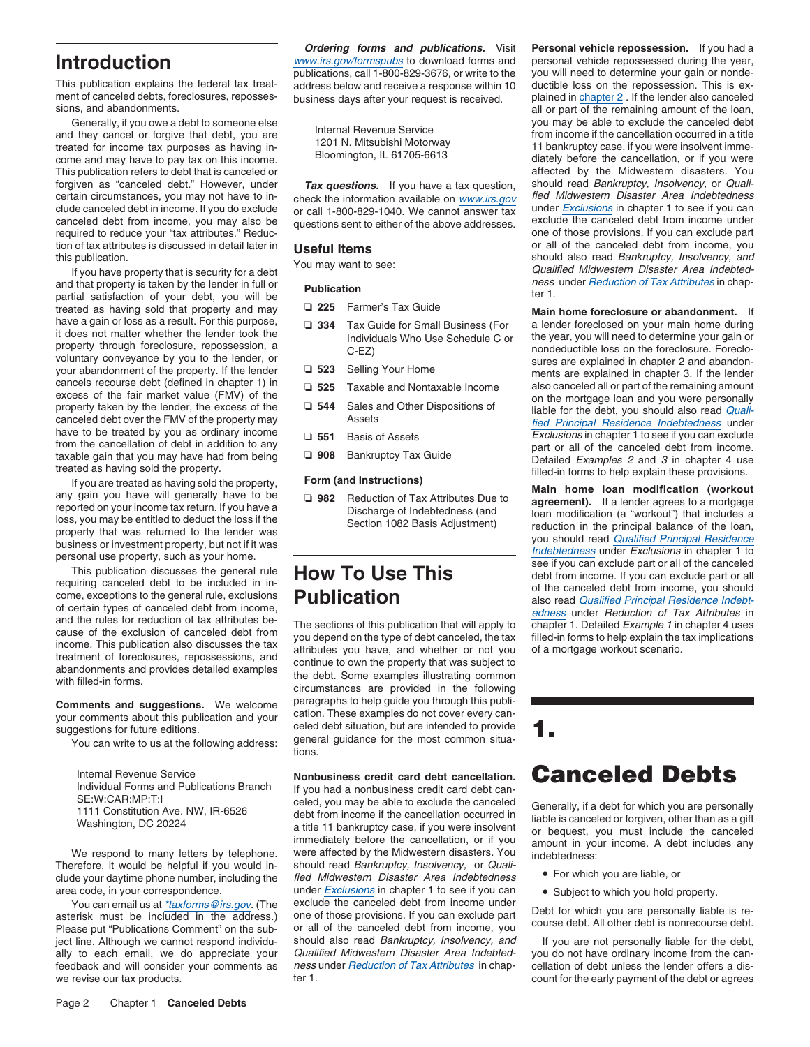ment of canceled debts, foreclosures, reposses-<br>sions, and abandonments.

treated for income tax purposes as having in-<br>
Come and may have to pay tax on this income.<br>
Bloomington, IL 61705-6613<br>
This publication refers to debt that is canceled or<br>
This publication refers to debt that is canceled forgiven as "canceled debt." However, under **Tax questions.** If you have a tax question, should read Bankruptcy, Insolvency, or Quali-<br>certain circumstances, you may not have to in-<br>certain circumstances, you may not have certain circumstances, you may not have to in-<br>clude canceled debt in income. If you do exclude<br>or call 1-800-829-1040. We cannot answer tax<br>under Exclusions in chapter 1 to see if you can canceled debt from income, you may also be questions sent to either of the above addresses. exclude the canceled debt from income under<br>required to reduce your "tax attributes." Reduc-<br>tion of tax attributes is discussed i tion of tax attributes is discussed in detail later in **Useful Items** or all of the canceled debt from income, you<br>this publication. No expression the secure of the canceled debt from income, you be the should also read *B* 

and that property is taken by the lender in full or **Publication** *ness*<br>
partial satisfaction of your debt, you will be ter 1.<br>
treated as having sold that property and may **Q 225** Farmer's Tax Guide treated as having sold that property and may **◯ 225** Farmer's Tax Guide **Main home foreclosure or abandonment.** If<br>have a gain or loss as a result. For this purpose, and **a sale to see that the seed of the abandon of the** have a gain or loss as a result. For this purpose,<br>it does not matter whether the lender took the lands individuals Who Use Schedule C or a lender foreclosed on your main home during<br>property through foreclosure, repossess voluntary conveyance by you to the lender, or<br>
your abandonment of the property. If the lender<br>
cancels recourse debt (defined in chapter 1) in<br>
excess of the fair market value (FMV) of the<br>
property taken by the lender, property taken by the lender, the excess of the U 344 Sales and Other Dispositions of liable for the debt, you should also read *Quali*-<br>canceled debt over the FMV of the property may Assets Assets and Other Dispositions i

Internal Revenue Service<br>
Individual Forms and Publications Branch if you had a nonbusiness credit card debt cancellation.<br>
SE:W:CAR:MP:T:I constitution Ave. NW, IR-6526 debt from income if the cancellation occurred in lin

clude your daytime phone number, including the

The contract in the address was the set of the provisions. If you can exclude part<br>asterisk must be included in the address.<br>Please put "Publications Comment" on the sub-<br>present is course debt. All other debt is nonrecour feedback and will consider your comments as we revise our tax products. The same of the early payment of the debt or agrees

*Ordering forms and publications.* Visit **Personal vehicle repossession.** If you had a **Introduction**<br>publications, call 1-800-829-3676, or write to the you will need to determine your gain or nonde-

- 
- 
- 
- 
- 
- 
- 

**Comments and suggestions.** We welcome paragraphs to help guide you through this publi-<br>vour comments about this publication and your cation. These examples do not cover every canyour comments about this publication and your<br>suggestions for future editions.<br>You can write to us at the following address:<br>You can write to us at the following address:<br>tions.

Vashington, DC 20224<br>Washington, DC 20224<br>Washington, DC 20224<br>We respond to many letters by telephone. We reflected by the Midwestern disasters. You income if you are insolvent<br>We respond to many letters by telephone. Wer were affected by the Midwestern disasters. You indebtedness:<br>should read Bankruptcy, Insolvency, or Quali-Therefore, it would be helpful if you would in-<br>clude your daytime phone number, including the fied Midwestern Disaster Area Indebtedness . For which you are liable, or area code, in your correspondence. under *Exclusions* in chapter 1 to see if you can • Subject to which you hold property.<br>You can email us at *\*taxforms@irs.gov.* (The exclude the canceled debt from income under

you will need to determine your gain or nonde-<br>ductible loss on the repossession. This is ex-This publication explains the federal tax treat-<br>ment of canceled debts, foreclosures, reposses-<br>business days after your request is received. Plained in chapter 2. If the lender also canceled all or part of the remaining amount of the loan, you may be able to exclude the canceled debt Generally, if you owe a debt to someone else and they cancel or forgive that debt, you are and they cancel or forgive that debt, you are from income if the cancellation occurred in a title treated for income tax purposes a affected by the Midwestern disasters. You or call 1-800-829-1040. We cannot answer tax under Exclusions in chapter 1 to see if you can outcome. The shows addresses exclude the canceled debt from income under this publication.<br>If you have property that is security for a debt<br>Ithat property is taken by the lender in full or **Dublication**<br>Ithat property is taken by the lender in full or **Dublication**<br>Ithat property is taken by th

Naw to be treated by ou as ordinary income<br>
trom the cancellation of debt in addition to any<br>
the translation of the same species with the cancellation for the cancellation of the property.<br>
If you are treated as having so

- 
- 

ject line. Although we cannot respond individu-<br>ally to each email, we do appreciate your *Qualified Midwestern Disaster Area Indebted-* you do not have ordinary income from the canally to each email, we do appreciate your Qualified Midwestern Disaster Area Indebted-<br>feedback and will consider your comments as ness under Reduction of Tax Attributes in chap-cellation of debt unless the lender offers a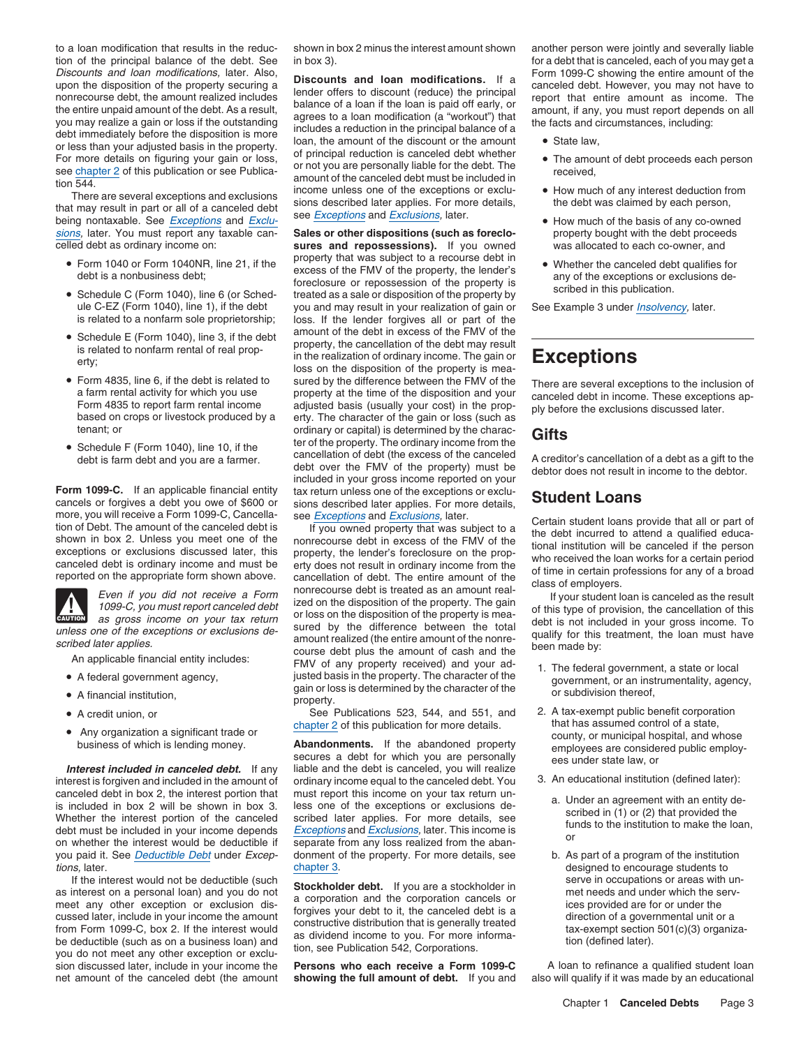tion of the principal balance of the debt. See in box 3). for a debt that is canceled, each of you may get a<br>Discounts and loan modifications, later. Also, piecesume and loan madifications, it a Form 1099-C showing the ent

sions, later. You must report any taxable can- **Sales or other dispositions (such as foreclo-** property bought with the debt proceeds

- 
- 
- 
- Form 4835, line 6, if the debt is related to
- 



- A federal government agency,
- 
- A credit union, or
- 

If the interest would not be deductible (such<br>as interest on a personal loan) and you do not<br>meet any other exception or exclusion dis-<br>methods are in occupations or areas with un-<br>as interest on a personal loan) and you d sion discussed later, include in your income the **Persons who each receive a Form 1099-C** A loan to refinance a qualified student loan net amount of the canceled debt (the amount **showing the full amount of debt**. If you a

to a loan modification that results in the reduc- shown in box 2 minus the interest amount shown another person were jointly and severally liable

Discounts and loan modifications. If a<br>
upon the disposition of the property securing a<br>
upon the disposition of the property securing a<br>
incone<br>
incident of the debt. As a result,<br>
balance of a loan if the loan is paid f

sures and repossessions). If you owned was allocated to each co-owner, and • Form 1040 or Form 1040NR, line 21, if the property that was subject to a recourse debt in • Form 1040 or Form 1040NR, line 21, if the property that was subsect to a recould be the sense of the property, the lender's debt is a nonbusiness debt;<br>
• Schedule C (Form 1040), line 6 (or Sched-<br>
• Schedule C (Form 104 Schedule C (Form 1040), line 6 (or Sched-<br>ule C-EZ (Form 1040), line 1), if the debt you and may result in your realization of gain or ule C-EZ (Form 1040), line 1), if the debt you and may result in your realization of gain or See Example 3 under *Insolvency*, later.<br>is related to a nonfarm sole proprietorship; loss. If the lender forgives all or part of loss. If the lender forgives all or part of the • Schedule E (Form 1040), line 3, if the debt amount of the debt in excess of the FMV of the  $S$  is related to nonfarm rental of real property, the cancellation of the debt may result is related to nonfarm rental of real prop-Is related to nonfarm rental of real prop-<br>erty;<br>loss on the disposition of the property is mea-<br>**ExceptionS** • Form 4835, line 6, if the debt is related to sured by the difference between the FMV of the There are several exceptions to the inclusion of a farm rental activity for which you use property at the time of the dispositio tenant; or<br>
• Schedule F (Form 1040), line 10, if the termined by the charac-<br>
ter of the property. The ordinary income from the • cancellation of debt (the excess of the canceled • A crodit debt is farm debt and you are a farmer. Cancellation of debt (the excess of the cancelled A creditor's cancellation of a debt as a gift to the debt over the FMV of the property) must be debtor does not result in income to included in your gross income reported on your **Form 1099-C.** If an applicable financial entity tax return unless one of the exceptions or exclu-Form 1999-C. It all applicable intalidate entity that return unless one of the exceptions or excludent Loans cancels or forgives a debt you owe of \$600 or sions described later applies. For more details, **Student Loans** mo

more, you will receive a Form 1099-C, Cancella<br>
see *Exceptions* and *Exclusions*, later.<br>
Shown in box 2. Unless you meet one of the canceled debt is ordinary income and must be<br>
exceptions or exclusions discussed later, unless one of the exceptions or exclusions de-<br>scribed later applies.<br>An applicable financial entity includes:<br>An applicable financial entity includes:<br>FMV of any property received) and your ad-<br>FMV of any property receive A federal government, a state or local justed basis in the property. The character of the gain or loss is determined by the character of the property, or subdivision thereof, property. A financial institution, and the subdivision thereof,<br>
a credit union, or subdivision thereof,<br>
See Publications 523, 544, and 551, and 2. A tax-exempt public benefit corporation<br>
See Publications 523, 544, and 551, and 2.

See Publications 523, 544, and 551, and 2. A tax-exempt public benefit corpora<br>chapter 2 of this publication for more details. that has assumed control of a state,

Interest included in canceled debt. If any liable and the debt is canceled, you will realize<br>interest is forgiven and included in the amount of ordinary income equal to the canceled debt. You 3. An educational institution canceled debt in box 2, the interest portion that must report this income on your tax return un-<br>is included in box 2 will be shown in box 3. less one of the exceptions or exclusions de-<br>Whether the interest portion of the you paid it. See Deductible Debt under Excep- donment of the property. For more details, see b. As part of a program of the institution

showing the full amount of debt. If you and

- 
- 
- 
- 
- 

- 
- Any organization a significant trade or  $\begin{array}{ll}\n\text{chapeter 2 of this publication for more details.} \\
\text{busing money.}\n\end{array}\n\quad\n\begin{array}{ll}\n\text{Chapter 2 of this publication for more details.}\n\end{array}\n\quad\n\begin{array}{ll}\n\text{chapler 2 of this publication for more details.}\n\end{array}\n\quad\n\begin{array}{ll}\n\text{chaplication for more details.}\n\end{array}\n\quad\n\begin{array}{ll}\n\text{chapler 2 of this publication for more details.}\n\end{array}\n\quad\n\begin{array$ 
	- -
- tions, later. encourage students to the deductible (such a chapter 3. chapter 3. designed to encourage students to the interest would not be deductible (such a capacity of the such a chapter 3. designed to encoupations or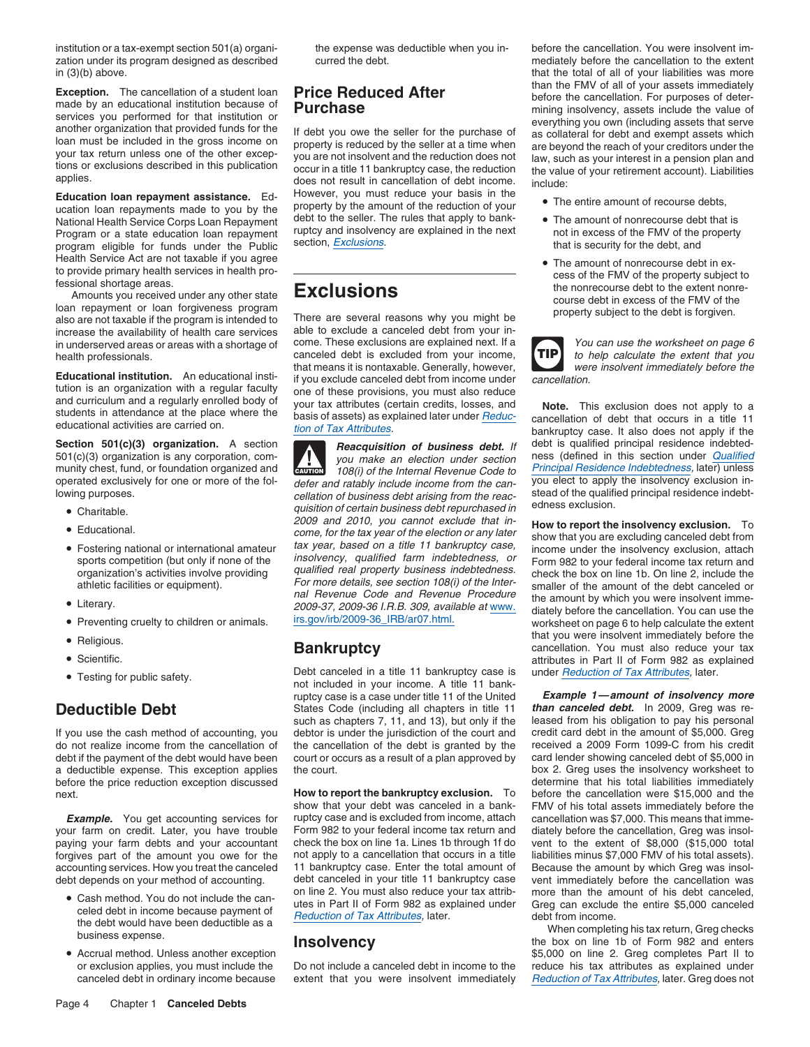zation under its program designed as described curred the debt. The mediately before the cancellation to the extent in (3)(b) above. that the total of all of your liabilities was more

National Health Service Corps Loan Repayment debt to the seller. The rules that apply to bank-<br>Program or a state education loan repayment ruptcy and insolvency are explained in the next not in excess of the FMV of the pro Program or a state education loan repayment ruptcy and insolvency are explained in the next not in excess of the FMV of the program eligible for funds under the Public section, *Exclusions*. program eligible for funds under the Public Health Service Act are not taxable if you agree •

loan repayment or loan forgiveness program<br>also are not taxable if the program is intended to There are several reasons why you might be property subject to the debt is forgiven.<br>increase the availability of health care se increase the availability of health care services able to exclude a canceled debt from your in-<br>in underserved areas or areas with a shortage of come. These exclusions are explained next. If a in underserved areas or areas with a shortage of come. These exclusions are explained next. If a You can use the worksheet on page 6<br>health professionals.

- Charitable.
- 
- 
- 
- 
- 
- Scientific.
- 

a deductible expense. This exception applies the court.<br>
before the price reduction exception discussed<br>
before the price reduction exception discussed<br>
before the price reduction exception discussed before the price reduction exception discussed next. **How to report the bankruptcy exclusion.** To before the cancellation were \$15,000 and the

your farm on credit. Later, you have trouble Form 982 to your federal income tax return and diately before the cancellation, Greg was insol-<br>paying your farm debts and your accountant check the box on line 1a. Lines 1b thr paying your farm debts and your accountant check the box on line 1a. Lines 1b through 1f do vent to the extent of \$8,000 (\$15,000 total forgives part of the amount you owe for the not apply to a cancellation that occurs in a title liabilities minus \$7,000 FMV of his total assets). accounting services. How you treat the canceled 11 bankruptcy case. Enter the total amount of Because the amount by which Greg was insoldebt depends on your method of accounting. debt canceled in your title 11 bankruptcy c

- Cash method. You do not include the can-<br>celed debt in income because payment of<br>the debt would have been deductible as a<br>business expense.<br>**Insolvency** the box on line 1b of Form 982 and enters<br>the box on line 1b of For
- Accrual method. Unless another exception

**Education loan repayment assistance.** Ed-<br>ucation loan repayments made to you by the property by the amount of the reduction of your • The entire amount of recourse debts, property by the amount of the reduction of your **COM** The entire amount of recourse debts,<br>debt to the seller. The rules that apply to bank-<br>**F** The amount of nonrecourse debt that is

health professionals. canceled debt is excluded from your income, **TIP** to help calculate the extent that you<br>that means it is nontaxable. Generally, however, that means it is nontaxable. Generally, however, **Educational institution.** An educational insti-<br>tution is an organization with a regular faculty<br>ne of these provisions you must also reduce tution is an organization with a regular faculty<br>and curriculum and a regularly enrolled body of your tax attributes (certain credits, losses, and **Note.** This exclusion does not apply to a<br>students in attendance at the pl

but(c)(3) organization is any corporation, com-<br>munity chest, fund, or foundation organized and<br>operated exclusively for one or more of the fol-<br>defer and ratably include income from the can-<br>you elect to apply the insolve **!** operated exclusively for one or more of the fol-<br>lowing purposes.<br>
ellation of business debt arising from the reac-<br>
ellation of certain business debt repurchased in<br>
edness exclusion.<br>
2009 and 2010, you cannot exclude th ■ Educational. • • Educational **Exclusion and Exclusion** *come, for the tax year of the election or any later* • **How to report the insolvency exclusion.** To • *come, for the tax year of the election or any later* • show Educational. come, for the tax year of the election or any later show that you are excluding canceled debt from tax year, based on a title 11 bankruptcy case, •• Fostering national or international amateur lax year, based on a tile TT bankruptcy case,<br>sports competition (but only if none of the insolvency, qualified farm indebtedness, or<br>organization's activities involve providin athletic facilities or equipment).<br>
and Revenue Code and Revenue Procedure<br>
2009-37, 2009-36 I.R.B. 309, available at www.<br>
2009-37, 2009-36 I.R.B. 309, available at www.<br>
diately before the cancellation. You can use the ■ Literary.<br>■ Preventing cruelty to children or animals. and irs.gov/irb/2009-36\_IRB/ar07.html. • Preventing cruelty to children or animals. • irs.gov/irb/2009-36\_IRB/ar07.html.

• Testing for public safety. Debt canceled in a title 11 bankruptcy case is under Reduction of Tax Attributes, later. not included in your income. A title 11 bankruptcy case is a case under title 11 of the United *Example 1—amount of insolvency more* **Deductible Debt** States Code (including all chapters in title 11 *than canceled debt.* In 2009, Greg was re-<br>such as chapters 7, 11, and 13), but only if the leased from his obligation to pay his personal such as chapters 7, 11, and 13), but only if the leased from his obligation to pay his personal<br>debtor is under the jurisdiction of the court and credit card debt in the amount of \$5,000. Greg If you use the cash method of accounting, you debtor is under the jurisdiction of the court and do not realize income from the cancellation of the cancellation of the debt is granted by the received a 2009 Form 1099-C from his credit debt if the payment of the debt would have been court or occurs as a result of a pla court or occurs as a result of a plan approved by card lender showing canceled debt of \$5,000 in<br>the court. box 2. Greg uses the insolvency worksheet to

show that your debt was canceled in a bank- FMV of his total assets immediately before the **Example.** You get accounting services for ruptcy case and is excluded from income, attach cancellation was \$7,000. This means that immedebt canceled in your title 11 bankruptcy case ● Cash method. You do not include the can-<br>utes in Part II of Form 982 as explained under Grea can exclude the entire \$5,000 canceled

institution or a tax-exempt section 501(a) organi-<br>the expense was deductible when you in-<br>before the cancellation. You were insolvent im-**Exception.** The cancellation of a student loan<br>
made by an educational institution because of<br>
services you performed for that institution or<br>
loan must be included in the gross income on<br>
loan must be included in the gro

- 
- 
- The amount of nonrecourse debt in exto provide primary health services in health pro-<br>
fessional shortage areas.<br>
Amounts you received under any other state<br>
Amounts you received under any other state<br> **EXCLUSIONS**

**TIP**

**Section 501(c)(3) organization.** A section **Reacquisition of business debt.** If debt is qualified principal residence indebted-<br>501(c)(3) organization is any corporation, com-<br> $\overline{N}$  *Reacquisition of business debt.* If

worksheet on page 6 to help calculate the extent **Frankruptcy CONSERV** That you were insolvent immediately before the • Religious.<br>**Bankruptcy Frankruptcy CONSERV** Cancellation. You must also reduce your tax cancellation. You must also reduce your tax attributes in Part II of Form 982 as explained

Accrual method. Unless another exception<br>Accrual method. Unless another exception<br>or exclusion applies, you must include the Do not include a canceled debt in income to the reduce his tax attributes as explained under reduce his tax attributes as explained under canceled debt in ordinary income because extent that you were insolvent immediately Reduction of Tax Attributes, later. Greg does not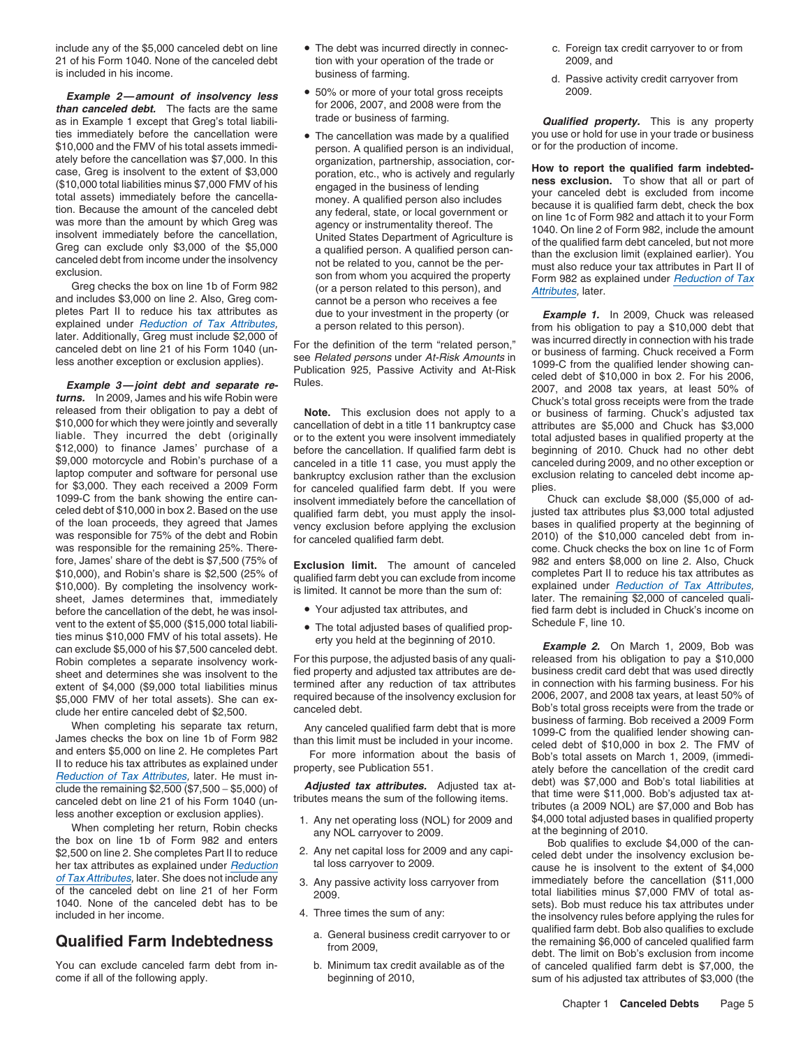include any of the \$5,000 canceled debt on line • The debt was incurred directly in connec- c. Foreign tax credit carryover to or from 21 of his Form 1040. None of the canceled debt tion with your operation of the trade or 2009, and is included in his income. **Exercice 20 included in his income.** business of farming. The same of the control of the control of the business of farming. The control of the control of the control of the control of the contr

as in Example 1 except that Greg's total liabili- **Trade or business of farming. Qualified property.** This is any property ties immediately before the cancellation were  $\bullet$  The cancellation was made by a qualified you use or hold for use in your trade or business \$10,000 and the FMV of his total assets immedi-<br>\$10,000 and the FMV of his total \$10,000 and the FMV of his total assets immedi-<br>ately before the cancellation was \$7,000. In this organization, partnership, association, cor-

of the loan proceeds, they agreed that James vency exclusion before applying the exclusion was responsible for 75% of the debt and Robin for canceled qualified farm debt was responsible for 75% of the debt and Robin for canceled qualified farm debt. 2010) of the \$10,000 canceled debt from in-<br>was responsible for the remaining 25%. There-<br>was responsible for the remaining 25%. Therefore, James' share of the debt is \$7,500 (75% of **Exclusion limit**. The amount of canceled 982 and enters \$8,000 on line 2. Also, Chuck<br>\$10,000), and Robin's share is \$2,500 (25% of qualified farm debt you can exclude from sheet, James determines that, immediately later is limited. It cannot be more than the sum of:<br>sheet, James determines that, immediately later. The remaining \$2,000 of canceled quali-<br>hefore the cancellation of the debt he before the cancellation of the debt, he was insol- • Your adjusted tax attributes, and fied farm debt is included in Chuck's income on vent to the extent of \$5,000 (\$15,000 total liabili-  $\bullet$  The total adjusted bases of qualified prop-<br>Schedule F, line 10. ties minus \$10,000 FMV of his total assets). He erty you held at the beginning of 2010.<br>
can exclude \$5,000 of his \$7,500 canceled debt.<br>
Robin completes a separate insolvency work-<br>
For this purpose, the adjusted basis of Robin completes a separate insolvency work- For this purpose, the adjusted basis of any quali- released from his obligation to pay a \$10,000<br>Sheet and determines she was insolvent to the fied property and adjusted tax attr sheet and determines she was insolvent to the fied property and adjusted tax attributes are de-<br>extent of \$4,000 (\$9,000 total liabilities minus termined after any reduction of tax attributes in connection with his farming extent of \$4,000 (\$9,000 total liabilities minus termined after any reduction of tax attributes in connection with his farming business. For his extent of \$4,000 (\$9,000 total liabilities minus termined because of the inso \$5,000 FMV of her total assets). She can ex-<br>clude her entire canceled debt of \$2,500<br>canceled debt. Bob's total gross receipts were from the trade or

\$2,500 on line 2. She completes Part II to reduce the reduction tal loss carryover to 2009.<br>
Any passive activity loss carryover from the insolvent to the extent of \$4,000<br>
of Tax Attributes, later. She does not include an of Tax Attributes, later. She does not include any 3. Any passive activity loss carryover from immediately before the cancellation (\$11,000<br>of the canceled debt on line 21 of her Form on one of the canceled debt on line 21 of her Form  $\frac{2009}{9}$ .<br>1040. None of the canceled debt has to be 1040. None of the canceled debt has to be sets). Bob must reduce his tax attributes under included in her income.

- 
- 50% or more of your total gross receipts **Example 2—amount of insolvency less**  $\bullet$  50% or more of your total gross receipts 2009.<br> *Example 1 except that Greq's total liabilia***tion of the same of** *than canceled debt.* **The facts are the same <b>than canceled debt.**
- ately before the cancellation was \$7,000. In this organization, partnership, association, cor-<br>
cancel (\$10,000 total liabilities minus \$7,000 FMV of his engaged in the business of lending<br>
(\$10,000 total liabilities minus

liable. They incurred the debt (originally or to the extent you were insolvent immediately total adjusted bases in qualified property at the \$12,000) to finance James' purchase of a before the cancellation. If qualified fa laptop computer and software for personal use bankruptcy exclusion rather than the exclusion exclusion relating to canceled debt income ap-<br>for \$3,000. They each received a 2009 Form for canceled qualified farm debt. If y for \$3,000. They each received a 2009 Form for canceled qualified farm debt. If you were plies.<br>1099-C from the bank showing the entire can- insolvent immediately before the cancellation of Chuck can exclude \$8,000 (\$5,000 1099-C from the bank showing the entire can-<br>celed debt of \$10,000 in box 2. Based on the use qualified farm debt, you must apply the insol-<br>of the loan proceeds, they agreed that James vency exclusion before applying the

- 
- 

- 
- 
- 
- 
- 
- 
- 
- 

pletes Part II to reduce his tax attributes as due to your investment in the property (or **Example 1.** In 2009, Chuck was released<br>explained under *Reduction of Tax Attributes*,<br>a person related to this person). The starti

clude her entire canceled debt of \$2,500.<br>
When completing his separate tax return,<br>
when completing his separate tax return,<br>
and entires the box on line 2. He completes Part<br>
and enters \$5,000 on line 2. He completes Par

**Qualified** Farm Indebtedness a. General business credit carryover to or qualified farm debt. Bob also qualifies to exclude<br>from 2009, from 2009, from 2009, the remaining \$6,000 of canceled qualified farm<br>debt. The limit o You can exclude canceled farm debt from in-<br>come if all of the offer of canceled qualified farm debt is \$7,000, the<br>beginning of 2010, sum of his adjusted tax attributes of \$3,000 (the sum of his adjusted tax attributes of \$3,000 (the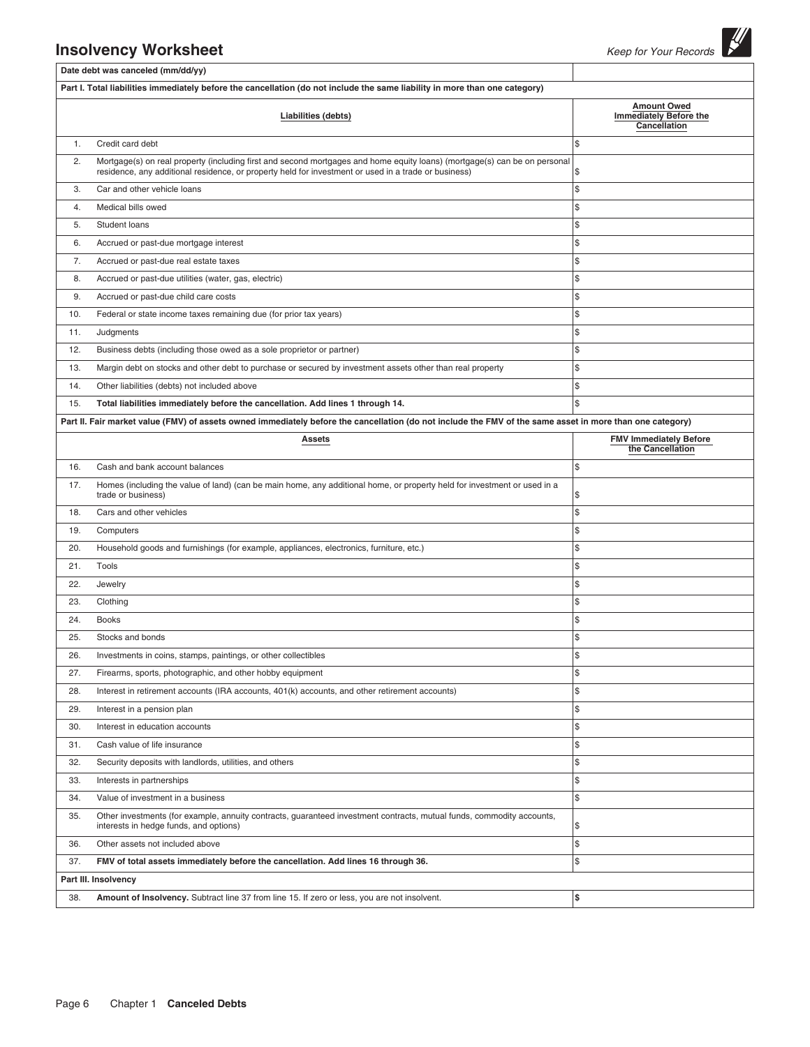|     | <b>Insolvency Worksheet</b>                                                                                                                                                                                                       | Keep for Your Records                                               |
|-----|-----------------------------------------------------------------------------------------------------------------------------------------------------------------------------------------------------------------------------------|---------------------------------------------------------------------|
|     | Date debt was canceled (mm/dd/yy)                                                                                                                                                                                                 |                                                                     |
|     | Part I. Total liabilities immediately before the cancellation (do not include the same liability in more than one category)                                                                                                       |                                                                     |
|     | Liabilities (debts)                                                                                                                                                                                                               | <b>Amount Owed</b><br><b>Immediately Before the</b><br>Cancellation |
| 1.  | Credit card debt                                                                                                                                                                                                                  | \$                                                                  |
| 2.  | Mortgage(s) on real property (including first and second mortgages and home equity loans) (mortgage(s) can be on personal<br>residence, any additional residence, or property held for investment or used in a trade or business) | \$                                                                  |
| 3.  | Car and other vehicle loans                                                                                                                                                                                                       | \$                                                                  |
| 4.  | Medical bills owed                                                                                                                                                                                                                | \$                                                                  |
| 5.  | Student loans                                                                                                                                                                                                                     | \$                                                                  |
| 6.  | Accrued or past-due mortgage interest                                                                                                                                                                                             | \$                                                                  |
| 7.  | Accrued or past-due real estate taxes                                                                                                                                                                                             | \$                                                                  |
| 8.  | Accrued or past-due utilities (water, gas, electric)                                                                                                                                                                              | \$                                                                  |
| 9.  | Accrued or past-due child care costs                                                                                                                                                                                              | \$                                                                  |
| 10. | Federal or state income taxes remaining due (for prior tax years)                                                                                                                                                                 | \$                                                                  |
| 11. | Judgments                                                                                                                                                                                                                         | \$                                                                  |
| 12. | Business debts (including those owed as a sole proprietor or partner)                                                                                                                                                             | \$                                                                  |
| 13. | Margin debt on stocks and other debt to purchase or secured by investment assets other than real property                                                                                                                         | \$                                                                  |
| 14. | Other liabilities (debts) not included above                                                                                                                                                                                      | \$                                                                  |
| 15. | Total liabilities immediately before the cancellation. Add lines 1 through 14.                                                                                                                                                    | \$                                                                  |
|     | Part II. Fair market value (FMV) of assets owned immediately before the cancellation (do not include the FMV of the same asset in more than one category)                                                                         |                                                                     |
|     | <b>Assets</b>                                                                                                                                                                                                                     | <b>FMV Immediately Before</b><br>the Cancellation                   |
| 16. | Cash and bank account balances                                                                                                                                                                                                    | \$                                                                  |
| 17. | Homes (including the value of land) (can be main home, any additional home, or property held for investment or used in a<br>trade or business)                                                                                    | \$                                                                  |
| 18. | Cars and other vehicles                                                                                                                                                                                                           | \$                                                                  |
| 19. | Computers                                                                                                                                                                                                                         | \$                                                                  |
| 20. | Household goods and furnishings (for example, appliances, electronics, furniture, etc.)                                                                                                                                           | \$                                                                  |
| 21. | Tools                                                                                                                                                                                                                             | \$                                                                  |
| 22. | Jewelry                                                                                                                                                                                                                           | \$                                                                  |
| 23. | Clothing                                                                                                                                                                                                                          | \$                                                                  |
| 24. | Books                                                                                                                                                                                                                             | \$                                                                  |
| 25. | Stocks and bonds                                                                                                                                                                                                                  | \$                                                                  |
| 26. | Investments in coins, stamps, paintings, or other collectibles                                                                                                                                                                    | \$                                                                  |
| 27. | Firearms, sports, photographic, and other hobby equipment                                                                                                                                                                         | \$                                                                  |
| 28. | Interest in retirement accounts (IRA accounts, 401(k) accounts, and other retirement accounts)                                                                                                                                    | \$                                                                  |
| 29. | Interest in a pension plan                                                                                                                                                                                                        | \$                                                                  |
| 30. | Interest in education accounts                                                                                                                                                                                                    | \$                                                                  |
| 31. | Cash value of life insurance                                                                                                                                                                                                      | \$                                                                  |
| 32. | Security deposits with landlords, utilities, and others                                                                                                                                                                           | \$                                                                  |
| 33. | Interests in partnerships                                                                                                                                                                                                         | \$                                                                  |
| 34. | Value of investment in a business                                                                                                                                                                                                 | \$                                                                  |
| 35. | Other investments (for example, annuity contracts, guaranteed investment contracts, mutual funds, commodity accounts,<br>interests in hedge funds, and options)                                                                   | $\frac{1}{2}$                                                       |
| 36. | Other assets not included above                                                                                                                                                                                                   | \$                                                                  |
| 37. | FMV of total assets immediately before the cancellation. Add lines 16 through 36.                                                                                                                                                 | \$                                                                  |
|     | Part III. Insolvency                                                                                                                                                                                                              |                                                                     |
| 38. | Amount of Insolvency. Subtract line 37 from line 15. If zero or less, you are not insolvent.                                                                                                                                      | \$                                                                  |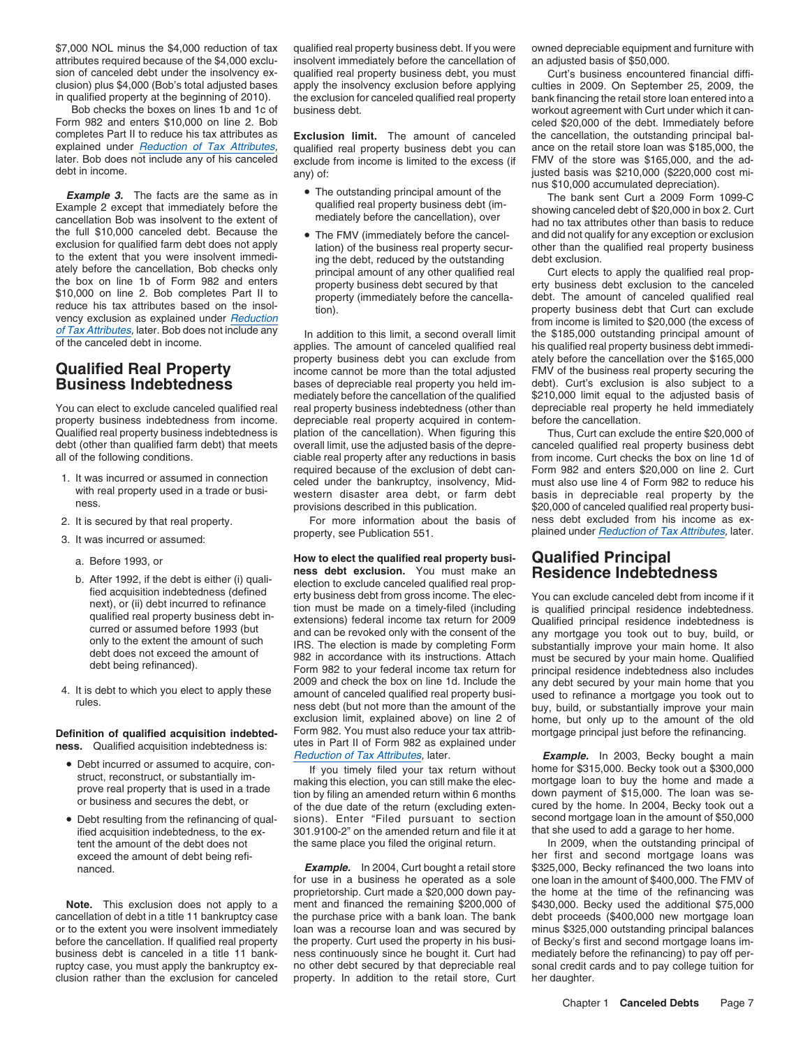Bob checks the boxes on lines 1b and 1c of business debt.<br>Form 982 and enters \$10,000 on line 2. Bob come and the cancompletes Part II to reduce his tax attributes as **Exclusion limit.** The amount of canceled the cancellation, the outstanding principal bal-<br>explained under *Reduction of Tax Attributes*, qualified real property business d

the full \$10,000 canceled debt. Because the • The FMV (immediately before the cancelthe full \$10,000 canceled debt. Because the <br>exclusion for qualified farm debt does not apply<br>tion) of the business real property secur-<br>there than the qualified real property business<br>to the extent that you were insolvent

property business indebtedness from income. depreciable real property acquired in contem-

- 
- 
- 3. It was incurred or assumed:
	-
	-
- 

## Definition of qualified acquisition indebted-

- 
- Debt resulting from the refinancing of qual-

\$7,000 NOL minus the \$4,000 reduction of tax qualified real property business debt. If you were owned depreciable equipment and furniture with attributes required because of the \$4,000 exclu-<br>sion of canceled debt under the insolvency ex-<br>qualified real property business debt, you must<br>Curt's business encounte sion of canceled debt under the insolvency ex-<br>
curt's business encountered financial diffi-<br>
clusion) plus \$4,000 (Bob's total adjusted bases apply the insolvency exclusion before applying culties in 2009. On September 25 apply the insolvency exclusion before applying culties in 2009. On September 25, 2009, the in qualified property at the beginning of 2010). the exclusion for canceled qualified real property bank financing the retail store loan entered into a

explained under *Reduction of Tax Attributes*, qualified real property business debt you can ance on the retail store loan was \$185,000, the later. Bob does not include any of his canceled exclude from income is limited to later. Bob does not include any of his canceled exclude from income is limited to the excess (if debt in income any) of:  $\sim$  justed basis was \$210,000 (\$220,000 cost mi-

- **Example 3.** The facts are the same as in  $\bullet$  The outstanding principal amount of the The bank sent Curt a 2009 Form 1099-C<br>The dualified real property business debt (im-<br>chanking canceled debt of \$20,000 in box 3. Curt
	-

property business debt you can exclude from ately before the cancellation over the \$165,000 **Qualified Real Property**<br> **Business Indebtedness** bases of depreciable real property you held im-<br> **Business Indebtedness** bases of depreciable real property you held im-<br>
debt). Curt's exclusion is also subject to a bases of depreciable real property you held immediately before the cancellation of the qualified \$210,000 limit equal to the adjusted basis of You can elect to exclude canceled qualified real real property business indebtedness (other than depreciable real property he held immediately repreciable real property henometry acquired in contemple to cancellation Qualified real property business indebtedness is plation of the cancellation). When figuring this Thus, Curt can exclude the entire \$20,000 of debt (other than qualified farm debt) that meets overall limit, use the adjusted basis of the depre-<br>all of the following conditions. ciable real property after any reductions in basis from income. Curt checks the box on l required because of the exclusion of debt can-<br>I. It was incurred or assumed in connection<br>with real property used in a trade or busi-<br>western disaster area debt or farm debt, basis in depreciable real property by the with real property used in a trade or busi-<br>ness. we are realised in this publication debt basis in depreciable real property by the

a. Before 1993, or **How to elect the qualified real property busi- Qualified Principal**<br>https://www.ipartic.com/www.ipartic.com/www.ipartic.com/www.ipartic.com/www.ipartic.com/www.ipartic.com/www.ipar b. After 1992, if the debt is either (i) quali-<br>fied acquisition indebtedness (defined<br>next), or (ii) debt incurred to refinance<br>next), or (ii) debt incurred to refinance<br>qualified real property business debt in-<br>qualified 4. It is debt to which you elect to apply these<br>
2009 and check the box on line 1d. Include the<br>
2009 and check the box on line 1d. Include the<br>
2009 and check the box on line 1d. Include the<br>
2009 and check the box on lin exclusion limit, explained above) on line 2 of home, but only up to the amount of the old<br>Form 982. You must also reduce your tax attrib- mortgage principal just before the refinancing. **ness.** Qualified acquisition indebtedness is: utes in Part II of Form 982 as explained under ness.

sions). Enter "Filed pursuant to section second mortgage loan in the amount of \$50,000<br>301.9100-2" on the amended return and file it at that she used to add a garage to her home. ified acquisition indebtedness, to the ex-<br>tent the amount of the debt does not the same place you filed the original return. In 2009, when the outstanding principal of the same place you filed the original return.

nanced. **Example.** In 2004, Curt bought a retail store \$325,000, Becky refinanced the two loans into<br>for use in a business he operated as a sole one loan in the amount of \$400,000. The FMV of for use in a business he operated as a sole proprietorship. Curt made a \$20,000 down pay-<br>ment and financed the remaining \$200,000 of \$430,000. Becky used the additional \$75,000 **Note.** This exclusion does not apply to a ment and financed the remaining \$200,000 of cancellation of debt in a title 11 bankruptcy case the purchase price with a bank loan. The bank debt proceeds (\$400,000 new mortgage loan or to the extent you were insolvent immediately loan was a recourse loan and was secured by minus \$325,000 outstanding principal balances before the cancellation. If qualified real property the property. Curt used the property in his busi-of Becky's first and second mortgage loans imbusiness debt is canceled in a title 11 bank- ness continuously since he bought it. Curt had mediately before the refinancing) to pay off per-<br>ruptcy case, you must apply the bankruptcy ex- no other debt secured by that de no other debt secured by that depreciable real property. In addition to the retail store, Curt clusion rather than the exclusion for canceled property. In addition to the retail store, Curt her daughter.

celed \$20,000 of the debt. Immediately before nus \$10,000 accumulated depreciation).

Example 2 except that immediately before the qualitied real property business debt (im-<br>cancellation Bob was insolvent to the extent of mediately before the cancellation), over had no tax attributes other than basis to red

ately before the cancellation, Bob checks only<br>the box on line 1b of Form 982 and enters<br>\$10,000 on line 2. Bob completes Part II to<br>reduce his tax attributes based on the insol-<br>vency exclusion as explained under *Reducti* 

from income. Curt checks the box on line 1d of provisions described in this publication.  $$20,000$  of canceled qualified real property busi-2. It is secured by that real property. For more information about the basis of ness debt excluded from his income as ex-<br>property, see Publication 551. Pained under *Reduction of Tax Attributes*, later. plained under Reduction of Tax Attributes, later.

• Debt incurred or assumed to acquire, con-<br>**Example.** In 2003, Becky bought a main • Reduction of Tax Attributes, later.<br>If you timely filed your tax return without • home for \$315,000. Becky took out a \$300,000 • Debt incurred or assumed to acquire, con-<br>struct, reconstruct, or substantially im-<br>prove real property that is used in a trade<br>or business and secures the debt, or<br>or business and secures the debt, or<br>or business and se

exceed the amount of debt being refi- her first and second mortgage loans was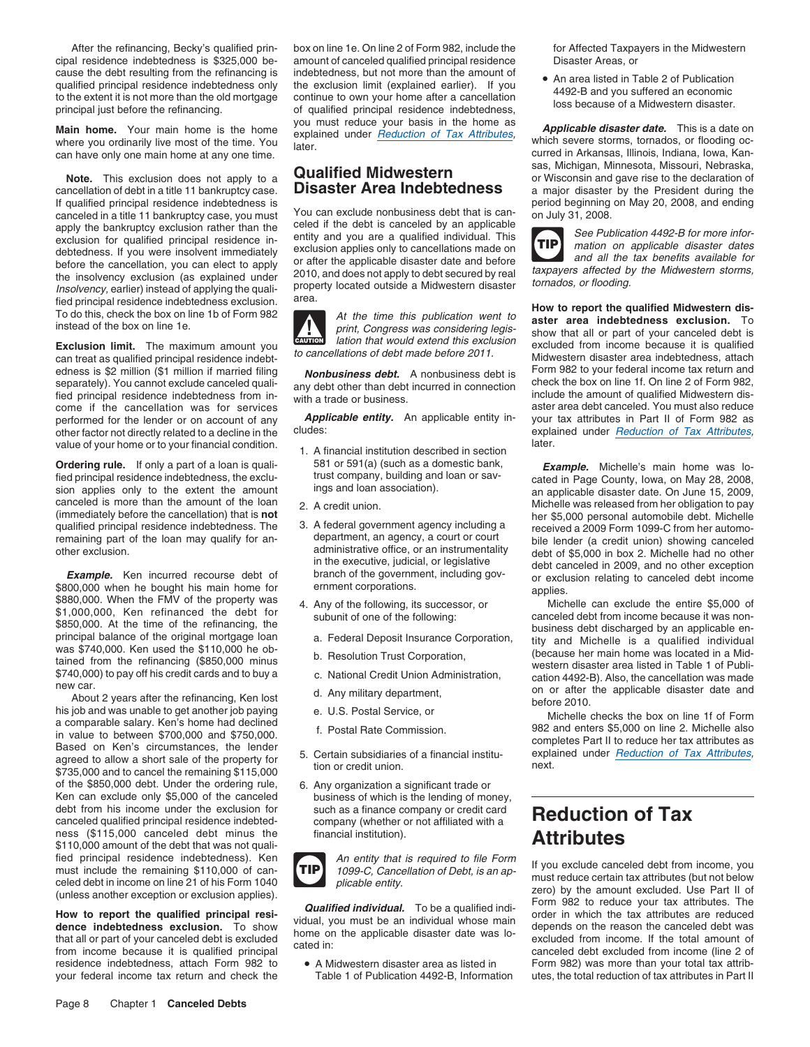cipal residence indebtedness is \$325,000 be- amount of canceled qualified principal residence Disaster Areas, or<br>cause the debt resulting from the refinancing is indebtedness, but not more than the amount of cause the debt resulting from the refinancing is indebtedness, but not more than the amount of qualified principal residence indebtedness only the exclusion limit (explained earlier). If you qualified principal residence indebtedness only the exclusion limit (explained earlier). If you<br>to the extent it is not more than the old mortgage continue to own your home after a cancellation and the extent it is not mor

can have only one main home at any one time.

cancellation of debt in a title 11 bankruptcy case. **DISASTET ATEA INDEDTEDNESS** a major disaster by the President during the If qualified principal residence indebtedness is period beginning on May 20, 2008, and ending If qualified principal residence indebtedness is<br>canceled in a title 11 bankruptcy case, you must<br>apply the bankruptcy exclusion rather than the celed if the debt is canceled by an applicable<br>exclusion for qualified princi debtedness. If you were insolvent immediately<br>before the cancellation, you can elect to apply<br>the insolvency exclusion (as explained under<br>the insolvency exclusion (as explained under<br>*Insolvency*, earlier) instead of appl

can treat as qualified principal residence indebt-<br>edness is \$2 million (\$1 million if married filing and another proceed of the approximate before debt is Form 982 to your federal income tax return and edness is \$2 million (\$1 million if married filing **Nonbusiness debt.** A nonbusiness debt is Form 982 to your federal income tax return and separately). You cannot exclude canceled quali-<br>separately). You cannot exclude ca separately). You cannot exclude canceled quali-<br>fied principal residence indebtedness from in-<br>come if the cancellation was for services<br>come if the cancellation was for services come if the cancellation was for services performed for the lender or on account of any *Applicable entity.* An applicable entity in- your tax attributes in Part II of Form 982 as other factor not directly related to a decline in the cludes:<br>
value of your home or to your financial condition<br>
value of your home or to your financial condition value of your home or to your financial condition.<br>1. A financial institution described in section

**Ordering rule.** If only a part of a loan is quali-<br>
fied principal residence indebtedness, the exclu-<br>
Trust company, building and loan or say-<br>
cated in Page County Jowa on May 28, 2008 tied principal residence indebtedness, the exclu-<br>sion applies only to the extent the amount ings and loan association). The annonlicable disaster date. On June 15, 2009, sion applies only to the extent the amount ings and loan association). The amapplicable disaster date. On June 15, 2009, an applicable disaster date. On June 15, 2009, an applicable disaster date. On June 15, 2009, canceled is more than the amount of the loan 2. A credit union.<br>(immediately before the cancellation) that is not and the state of the state of the state of the state of the<br>her \$5,000 personal automobile debt. Michelle (immediately before the cancellation) that is **not** end on the state of the \$5,000 personal automobile debt. Michelle<br>qualified principal residence indebtedness. The 3. A federal government agency including a received a 20 remaining part of the loan may qualify for an-<br>administrative office, or an instrumentality bile lender (a credit union) showing canceled<br>other exclusion.

other exclusion.<br> **Example.** Ken incurred recourse debt of the security in the executive, judicial, or legislative<br> **Example.** Ken incurred recourse debt of the manch of the government, including gov-<br>
\$800,000 when he bou

his job and was unable to get another job paying<br>
a comparable salary. Ken's home had declined<br>
in value to between \$700,000 and \$750,000.<br>
Based on Ken's circumstances, the lender<br>
agreed to allow a short sale of the prop of the \$850,000 debt. Under the ordering rule, 6. Any organization a significant trade or Ken can exclude only \$5,000 of the canceled business of which is the lending of more debt from his income under the exclusion for such as a finance company or credit card debt from his income under the exclusion for<br>
canceled qualified principal residence indebted-<br>
ness (\$115,000 canceled debt minus the financial institution).<br> **Attributes** ness (\$115,000 canceled debt minus the \$110,000 amount of the debt that was not quali-<br>fied principal residence indebtedness). Ken fied principal residence indebtedness). Ken<br>must include the remaining \$110,000 of can-<br>celed debt in income on line 21 of his Form 1040<br>entity. TIP 1099-C, Cancellation of Debt, is an ap-<br>plicable entity. and ap-<br>nust red

residence indebtedness, attach Form 982 to • A Midwestern disaster area as listed in Form 982) was more than your total tax attribyour federal income tax return and check the Table 1 of Publication 4492-B, Information utes, the total reduction of tax attributes in Part II

After the refinancing, Becky's qualified prin-<br>box on line 1e. On line 2 of Form 982, include the form Affected Taxpayers in the Midwestern **Main home.** Your main home is the home you must reduce your basis in the home as **Applicable disaster date.** This is a date on where you ordinarily live most of the time. You later.<br>
can have only one main home at any one



- 
- 
- 
- -
	-
	-
- 
- 
- 
- 
- business of which is the lending of money,



sas, Michigan, Minnesota, Missouri, Nebraska, Note. This exclusion does not apply to a **Qualified Midwestern** sas, pricripari, will liesual, wissouri, nepraska,<br>a major disaster to the declaration of debt in a title 11 bankruptcy case **Disaster Area Indebtedness** a ma

**TIP**

Fied principal residence indebtedness exclusion.<br>
To do this, check the box on line 1b of Form 982<br>
instead of the box on line 1e.<br> **Exercise of the box on line 1e.**<br> **Exercise of the cause of the cause of the cause of the Exclusion limit.** The maximum amount you<br>can treat as qualified principal residence indebt to cancellations of debt made before 2011.<br>Midwestern disaster area indebtedness, attach

A rederal government agency including a received a 2009 Form 1099-C from her automo-<br>department, an agency, a court or court relies lender (a credit union) showing canceled

new car.<br>
About 2 years after the refinancing, Ken lost d. Any military department, and the refinancing on or after the applicable disaster date and before 2010.<br>
his job and was unable to get another job paying e. U.S. Po

# **Attributes**

The photosic condition of exclusion applies).<br>
To be a qualified individual. To be a qualified individual individual of the mount exclusion or exclusion applies).<br> **Availified individual.** To be a qualified individual whos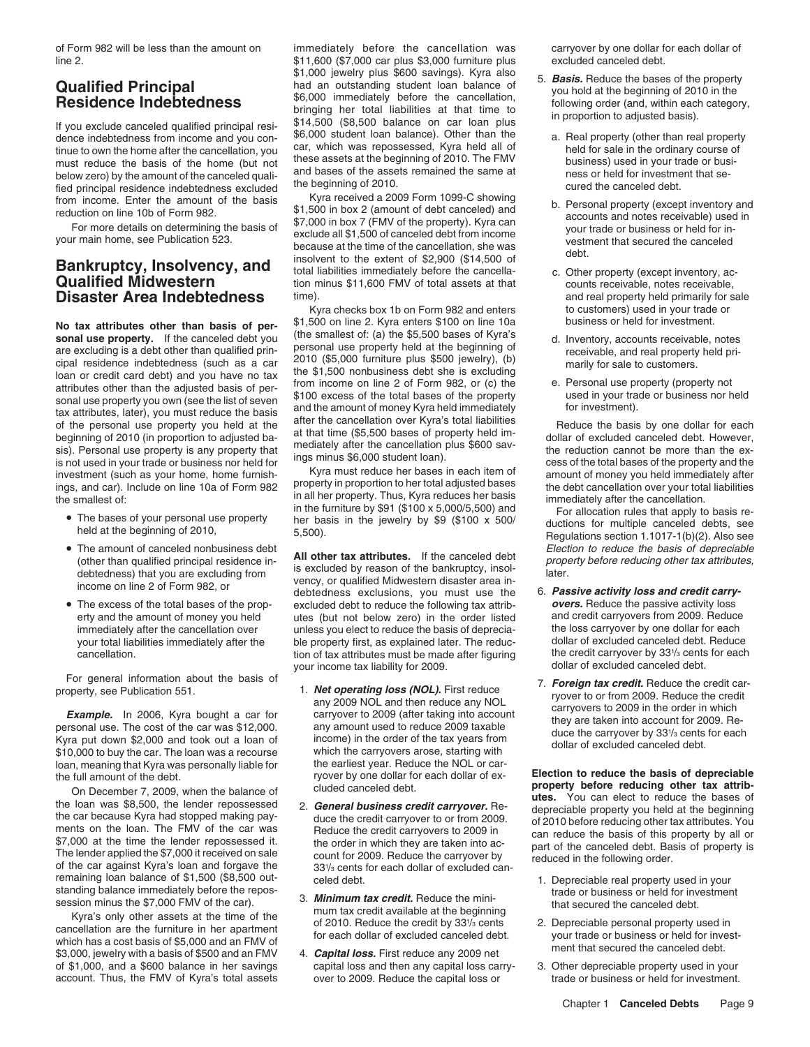If you exclude canceled qualified principal resi-<br>dence indebtedness from income and you con-<br>tinue to own the home after the cancellation, you can, which was repossessed, Kyra held all of<br>must reduce the basis of the home must reduce the basis of the home (but not these assets at the beginning of 2010. The FMV business) used in your trade or busi-<br>below zero) by the amount of the canceled quali- and bases of the assets remained the same at below zero) by the amount of the canceled quali-<br>the beginning of 2010. The and the same and the anceled debt.

No tax attributes other than basis of percivative the anglest of the smallest of the smallest of the smallest of the smallest of the smallest of the smallest of the smallest of the smallest of the smallest of the percept

- 
- The amount of canceled nonbusiness debt
- The excess of the total bases of the prop-

personal use. The cost of the car was \$12,000. any amount used to reduce 2009 taxable<br>Kyra put down \$2,000 and took out a loan of income) in the order of the tax years from the carryover by 33<sup>1/3</sup> cents for each<br>\$10,000 t loan, meaning that Kyra was personally liable for the earliest year. Reduce the NOL or car-<br>the full amount of the debt. The full amount of the debt.

Une the loan was \$8,500, the lender repossessed<br>the car because Kyra had stopped making pay-<br>the car because Kyra had stopped making pay-<br>strong and the credit carryover to or from 2009.<br>\$7,000 at the time the lender repos

rivided by the terminum of 2010. Reduce the credit by 33<sup>1</sup>/<sub>3</sub> cents 2. Depreciable personal property used in<br>which has a cost basis of \$5,000 and an FMV of for each dollar of excluded canceled debt.<br>\$3,000, jewelry with of \$1,000, and a \$600 balance in her savings capital loss and then any capital loss carry-<br>
account. Thus, the FMV of Kyra's total assets over to 2009. Reduce the capital loss or trade or business or held for investment. account. Thus, the FMV of Kyra's total assets over to 2009. Reduce the capital loss or

of Form 982 will be less than the amount on immediately before the cancellation was carryover by one dollar for each dollar of line 2. **11,600 (\$7,000 car plus \$3,000 furniture plus** excluded canceled debt.<br>\$1,000 jewelry plus \$600 savings). Kyra also \$1,000 jewelry plus \$600 savings). Kyra also 5. **Basis.** Reduce the bases of the property had an outstanding student loan balance of the beginning of 2010 in the set of the property had an outstanding student loan balance

From income. Enter the amount of the basis word the beginning of 2010.<br>
From income. Enter the amount of the basis word a 2009 Form 1099-C showing<br>
reduction on line 10b of Form 982.<br>
For more details on determining the ba **Disaster Area Indebtedness** time). This is a state of the sale of the sale property held primarily for sale

Kyra checks box 1b on Form 982 and enters to customers) used in your trade or<br>500 on line 2. Kyra enters \$100 on line 10a business or held for investment.

• The amount of canceled nonbusiness debt<br>
(other than qualified principal residence in-<br>
tis excluded by reason of the bankruptcy, insol-<br>
is excluded by reason of the bankruptcy, insol-<br>
income on line 2 of Form 982, or<br> The excess of the total bases of the prop-<br>excluded debt to reduce the following tax attrib-<br>erty and the amount of money you held utes (but not below zero) in the order listed and credit carryovers from 2009. Reduce utes (but not below zero) in the order listed and credit carryovers from 2009. Reduce<br>unless you elect to reduce the basis of deprecia- the loss carryover by one dollar for each immediately after the cancellation over unless you elect to reduce the basis of deprecia-<br>your total liabilities immediately after the ble property first, as explained later. The reduc- dollar of excluded canceled debt. Re ble property first, as explained later. The reduc- and dollar of excluded canceled debt. Reduce<br>tion of tax attributes must be made after figuring a state credit carryover by 331/3 cents for each tion of tax attributes must be made after figuring the credit carryover by 331/3 cents<br>vour income tax liability for 2009. The state of excluded canceled debt. your income tax liability for 2009.

- 
- 331/<sub>3</sub> cents for each dollar of excluded can-
- remaining loan balance of \$1,500 (\$8,500 out-<br>standing balance immediately before the repos-<br>session minus the \$7,000 FMV of the car).<br>Kyra's only other assets at the time of the mini-<br>session minus the \$7,000 FMV of the c
	-

- -
	-
	-
	-
	-

The bases of your personal use property her basis in the jewelry by \$9 (\$100 x 5,000/5,500) and For allocation rules that apply to basis reheld at the beginning of 2010,<br>5,500). Regulations for multiple canceled debts, se

- 
- For general information about the basis of<br>property, see Publication 551. **1. Net operating loss (NOL).** First reduce<br>example. In 2006, Kyra bought a car for<br>personal use. The cost of the car was \$12,000. and then reduce a

the full amount of the debt.<br>
The full amount of the debt.<br>
On December 7, 2009, when the balance of cluded canceled debt.<br>
the log was are set of the log was a set of the log was a set of the log was are set of the log wa

- 
- 
-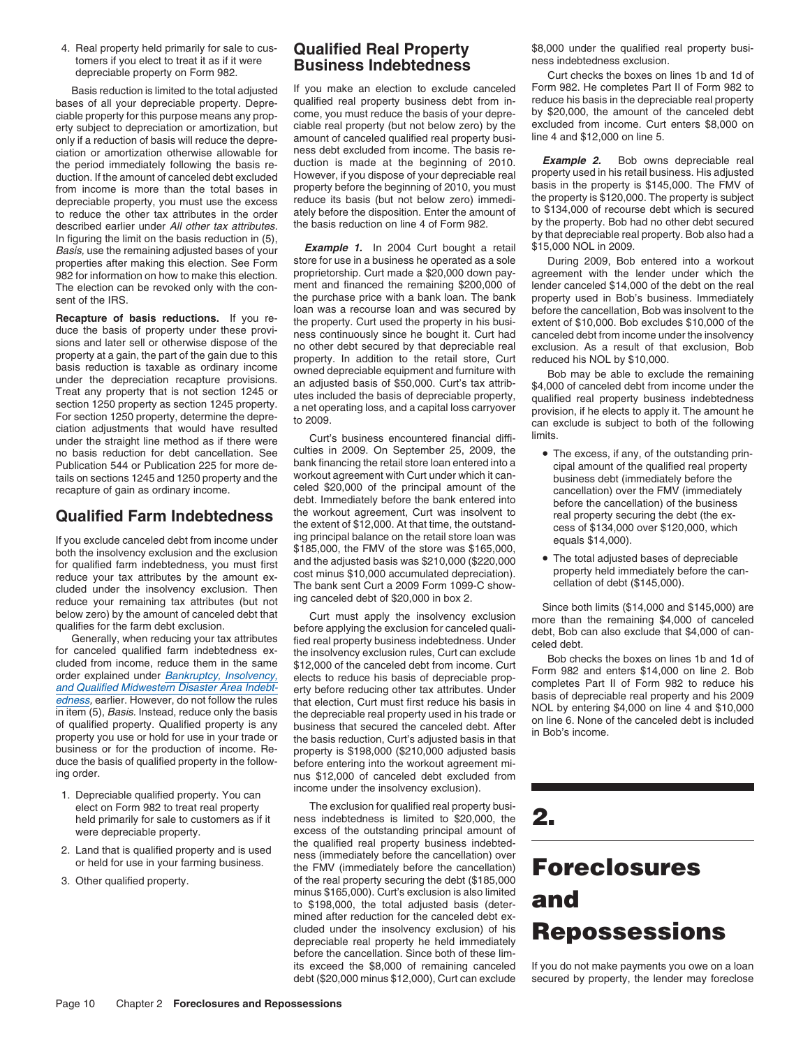tomers if you elect to treat it as if it were **Business Indebtedness** exclusion.<br>depreciable property on Form 982. Curt checks the boxes on lines 1b and 1d of

bases of all your depreciable property. Depre- qualified real property business debt from in- reduce his basis in the depreciable real property<br>ciable property for this purpose means any prop- come you must reduce the basi ciable property for this purpose means any prop- come, you must reduce the basis of your depre- by \$20,000, the amount of the canceled debt critication or amortization but ciable real property (but not below zero) by the e erty subject to depreciation or amortization, but ciable real property (but not below zero) by the excluded from income. Curt only if a reduction of basis will reduce the depre-<br>amount of canceled qualified real property b ciation or amortization otherwise allowable for duction of immediately following the basis re-<br>duction is made at the beginning of 2010. **Example 2.** Bob owns depreciable real the period immediately following the basis re-<br>duction if the amount of canceled debt excluded duction. If the amount of canceled debt excluded However, if you dispose of your depreciable real property used in his retail business. His adjusted duction. If the amount of canceled debt excluded However, if you dispose from income is more than the total bases in property before the beginning of 2010, you must basis in the property is \$145,000. The FMV of depreciable property, you must use the excess reduce its basis (but not below zero) to reduce the other tax attributes in the order ately before the disposition. Enter the amount of to \$134,000 of recourse debt which is secured<br>described earlier under All other tax attributes the basis reduction on line 4 described earlier under All other tax attributes. the basis reduction on line 4 of Form 982. by the property. Bob had no other debt secured<br>In figuring the limit on the basis reduction in (5) In figuring the limit on the basis reduction in (5),<br>Basis, use the remaining adjusted bases of your **Example 1.** In 2004 Curt bought a retail \$15,000 NOL in 2009.<br>Basis, use the remaining adjusted bases of your store for properties after making this election. See Form store for use in a business he operated as a sole properties as<br>During 2009, Bob to make this election proprietorship. Curt made a \$20,000 down pay-982 for information on how to make this election. proprietorship. Curt made a \$20,000 down pay- agreement with the lender under which the The election can be revoked only with the con-<br>the purchase price with a bank loan. The bank property used in Bob's business, Immediately sent of the IRS. the purchase price with a bank loan. The bank

**Recapture of basis reductions.** If you re-<br>duce the basis of property under these provi-<br>duce the basis of property under these provi-<br>mess continuously since the brought it. Curt had canceled debt from income under \$10,0 no basis reduction for debt cancellation. See culties in 2009. On September 25, 2009, the<br>Publication 544 or Publication 225 for more de-<br>publication 544 or Publication 225 for more de-<br>publication state of the etail store Publication 544 or Publication 225 for more de-<br>tails on sections 1245 and 1250 property and the workout agreement with Curt under which it can-<br>recapture of gain as ordinary income.<br>celed \$20,000 of the principal amount o

business or for the production of income. Re-<br>duce the basis of qualified property in the follow-<br>before entering into the workout agreement miduce the basis of qualified property in the follow-<br>ing order.<br>mus \$12,000 of canceled debt excluded from

- income under the insolvency exclusion). 1. Depreciable qualified property. You can elect on Form 982 to treat real property
- 
- 

amount of canceled qualified real property business debt excluded from income. The basis re-

recapture of gain as ordinary income.<br>
debt. Immediately pelote S20,000 of the principal amount of the cancellation) over the FMV (immediately<br>
debt. Immediately the otrestant, Curt was insolvent to before the ancellation) nus \$12,000 of canceled debt excluded from

held primarily for sale to customers as if it ness indebtedness is limited to \$20,000, the **2.** were depreciable property.<br>
Lead the qualified real property business indebted-2. Land that is qualified property and is used<br>or held for use in your farming business.<br>3. Other qualified property.<br>3. Other qualified property.<br>of the real property securing the debt (\$185,000 of the real property securing the debt (\$185,000 minus \$165,000). Curt's exclusion is also limited minus \$165,000). Curt s exclusion is also limited<br>to \$198,000, the total adjusted basis (deter-**and** mined after reduction for the canceled debt excluded under the insolvency exclusion) of his cluded under the insolvency exclusion) of his **Repossessions** before the cancellation. Since both of these limits exceed the \$8,000 of remaining canceled If you do not make payments you owe on a loan

4. Real property held primarily for sale to cus-<br>tomers if you elect to treat it as if it were<br>**Rusingss Indebtedness**<br>**Rusings Indebtedness**<br>**Indebtedness** indebtedness exclusion.

Basis reduction is limited to the total adjusted If you make an election to exclude canceled Form 982. He completes Part II of Form 982 to Basis in the depreciable real property sess of all your depreciable real property

- The excess, if any, of the outstanding prin-
- 

debt (\$20,000 minus \$12,000), Curt can exclude secured by property, the lender may foreclose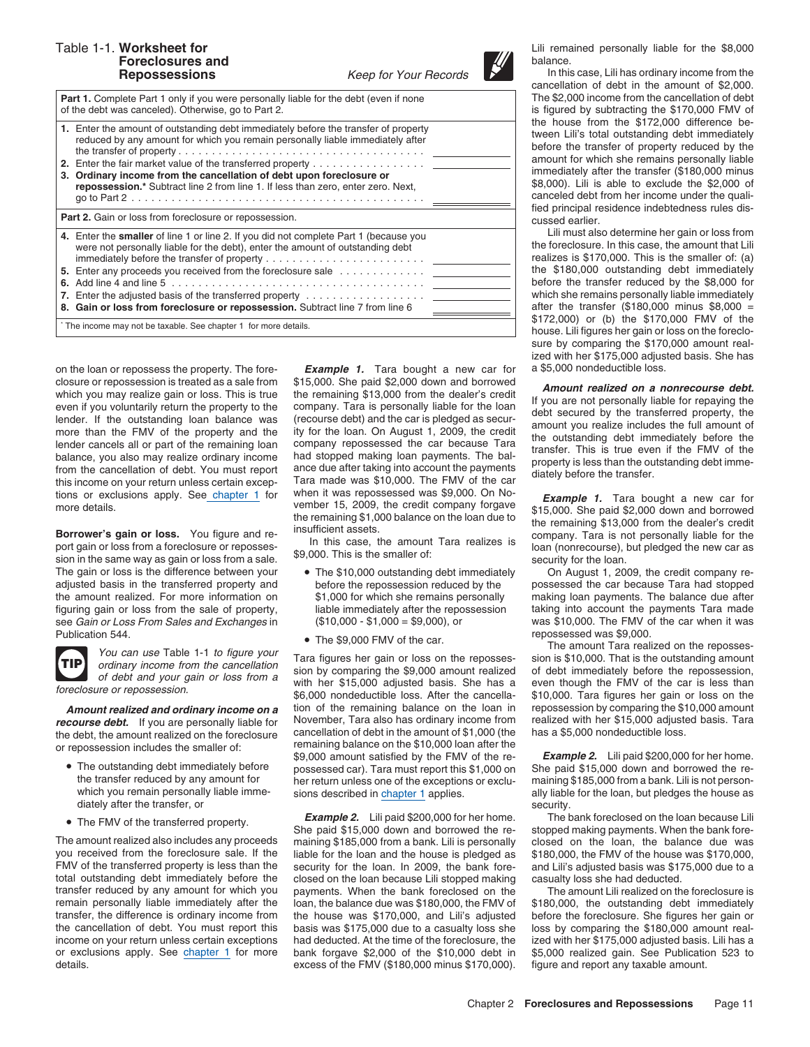# **Foreclosures and balance. balance. balance. balance.**



**Part 1.** Complete Part 1 only if you were personally liable for the debt (even if none The \$2,000 income from the cancellation of debt of the debt was canceled). Otherwise, go to Part 2. is figured by subtracting the \$170,000 FMV of

|                                                                                                                                                                                                                                                                                                                                              | the house from the \$172,000 difference be-                                                                                                                                                                                                                                                                                                                         |
|----------------------------------------------------------------------------------------------------------------------------------------------------------------------------------------------------------------------------------------------------------------------------------------------------------------------------------------------|---------------------------------------------------------------------------------------------------------------------------------------------------------------------------------------------------------------------------------------------------------------------------------------------------------------------------------------------------------------------|
| 1. Enter the amount of outstanding debt immediately before the transfer of property<br>reduced by any amount for which you remain personally liable immediately after                                                                                                                                                                        | tween Lili's total outstanding debt immediately<br>before the transfer of property reduced by the<br>amount for which she remains personally liable                                                                                                                                                                                                                 |
| 2. Enter the fair market value of the transferred property $\dots \dots \dots \dots \dots$<br>3. Ordinary income from the cancellation of debt upon foreclosure or<br>repossession.* Subtract line 2 from line 1. If less than zero, enter zero. Next,                                                                                       | immediately after the transfer (\$180,000 minus<br>\$8,000). Lili is able to exclude the \$2,000 of<br>canceled debt from her income under the quali-<br>fied principal residence indebtedness rules dis-                                                                                                                                                           |
| <b>Part 2.</b> Gain or loss from foreclosure or repossession.                                                                                                                                                                                                                                                                                | cussed earlier.                                                                                                                                                                                                                                                                                                                                                     |
| 4. Enter the smaller of line 1 or line 2. If you did not complete Part 1 (because you<br>were not personally liable for the debt), enter the amount of outstanding debt<br>5. Enter any proceeds you received from the foreclosure sale $\dots \dots \dots$<br>8. Gain or loss from foreclosure or repossession. Subtract line 7 from line 6 | Lili must also determine her gain or loss from<br>the foreclosure. In this case, the amount that Lili<br>realizes is \$170,000. This is the smaller of: (a)<br>the \$180,000 outstanding debt immediately<br>before the transfer reduced by the \$8,000 for<br>which she remains personally liable immediately<br>after the transfer $(\$180,000$ minus $\$8,000 =$ |
| * The income may not be taxable. See chapter 1 for more details.                                                                                                                                                                                                                                                                             | \$172,000) or (b) the \$170,000 FMV of the<br>house I ili figures her gain or loss on the foreclo-                                                                                                                                                                                                                                                                  |

on the loan or repossess the property. The fore- *Example 1.* Tara bought a new car for a \$5,000 nondeductible loss.

The gain or loss is the difference between your • The \$10,000 outstanding debt immediately On August 1, 2009, the credit company refiguring gain or loss from the sale of property, liable immediately after the repossession taking into account the payments Tara made<br>see Gain or Loss From Sales and Exchanges in (\$10,000 - \$1,000 = \$9,000), or was \$10,000 see Gain or Loss From Sales and Exchanges in  $$1,000 - $1,000 = $9,000$ , or



- The outstanding debt immediately before
- 

The amount realized also includes any proceeds maining \$185,000 from a bank. Lili is personally you received from the foreclosure sale. If the liable for the loan and the house is pledged as you received from the foreclosure sale. If the liable for the loan and the house is pledged as \$180,000, the FMV of the house was \$170,000, FMV of the house was \$170,000, FMV of the transferred property is less than the se FMV of the transferred property is less than the security for the loan. In 2009, the bank fore- and Lili's adjusted basis was \$175,000 due to a total outstanding debt immediately before the closed on the loan because Lili total outstanding debt immediately before the closed on the loan because Lili stopped making transfer reduced by any amount for which you payments. When the bank foreclosed on the remain personally liable immediately after the loan, the balance due was \$180,000, the FMV of \$180,000, the outstanding debt immediately transfer, the difference is ordinary income from the house was \$170,000, and Lili's a the cancellation of debt. You must report this basis was \$175,000 due to a casualty loss she loss by comparing the \$180,000 amount realincome on your return unless certain exceptions had deducted. At the time of the foreclosure, the ized with her \$175,000 adjusted basis. Lili has a or exclusions apply. See chapter 1 for more bank forgave \$2,000 of the \$10 details. excess of the FMV (\$180,000 minus \$170,000). figure and report any taxable amount.

closure or repossession is treated as a sale from \$15,000. She paid \$2,000 down and borrowed<br>which you may realized on a nonrecourse debt.<br>which you may realize gain or loss. This is true the remaining \$13,000 from the dea balance, you also may realize ordinary income<br>from the cancellation of debt. You must report<br>from the cancellation of debt. You must report<br>this income on your return unless certain excep-<br>this income on your return unles

- 
- 

of debt and your gain or loss from a with her \$15,000 adjusted basis. She has a even though the FMV of the car is less than \$6,000 nondeductible loss. After the cancella- \$10,000. Tara figures her gain or loss on the **Amount realized and ordinary income on a** tion of the remaining balance on the loan in repossession by comparing the \$10,000 amount **course debt**. If you are personally liable for November, Tara also has ordinary income f *recourse debt.* If you are personally liable for November, Tara also has ordinary income from realized with her \$15,000 adjusted basis. The debt the amount realized on the foreclosure cancellation of debt in the amount of the debt, the amount realized on the foreclosure<br>or repossession includes the smaller of:<br>The outstanding debt immediately before<br>The outstanding debt immediately before<br>ossessed car). Tara must report this \$1.000 on She p The outstanding debt immediately before possessed car). Tara must report this \$1,000 on the transfer reduced by any amount for  $p_{\text{per}}$  return unless one of the exceptions or excluthe transfer reduced by any amount for her return unless one of the exceptions or exclu- maining \$185,000 from a bank. Lili is not person-<br>which you remain personally liable imme-sions described in chapter 1 applies. Thank

The FMV of the transferred property.<br>She paid \$15,000 down and borrowed the re- stopped making payments. When the bank fore-<br>The amount realized also includes any proceeds maining \$185,000 from a bank. Lili is personally c payments. When the bank foreclosed on the The amount Lili realized on the foreclosure is the house was \$170,000, and Lili's adjusted before the foreclosure. She figures her gain or bank forgave \$2,000 of the \$10,000 debt in \$5,000 realized gain. See Publication 523 to

Table 1-1. **Worksheet for** Lili remained personally liable for the \$8,000

**Repossessions** Keep for Your Records In this case, Lili has ordinary income from the cancellation of debt in the amount of \$2,000. canceled debt from her income under the qualified principal residence indebtedness rules dis-<br>cussed earlier.

Lili must also determine her gain or loss from the foreclosure. In this case, the amount that Lili realizes is  $$170,000$ . This is the smaller of: (a) the \$180,000 outstanding debt immediately before the transfer reduced by the \$8,000 for which she remains personally liable immediately **after the transfer (\$180,000 minus \$8,000 =** \$172,000) or (b) the \$170,000 FMV of the house. Lili figures her gain or loss on the foreclosure by comparing the \$170,000 amount realized with her \$175,000 adjusted basis. She has

adjusted basis in the transferred property and before the repossession reduced by the possessed the car because Tara had stopped the amount realized. For more information on \$1,000 for which she remains personally making loan payments. The balance due after<br>figuring gain or loss from the sale of property, liable immediately after the repossession ta

Publication 544.<br>• The \$9,000 FMV of the car. The amount Tara realized on the reposses-<br>Figure 2016 11:00 FMV of the car. The amount Tara realized on the reposses-Find the state of debt and your gain or loss from a with hor \$15,000 and the reposses-<br>ordinary income from the cancellation<br>of debt and your gain or loss from a with hor \$15,000 and the reposses-<br>of debt and your gain or

sions described in chapter 1 applies. ally liable for the loan, but pledges the house as diately after the transfer, or<br> **Example 2.** Lili paid \$200,000 for her home. The bank foreclosed on the loan because Lili

• The FMV of the transferred property. **Example 2.** Lili paid \$200,000 for her home. The bank foreclosed on the loan because Lili **She paid \$15,000 down and borrowed the re-** stopped making payments. When the bank fore-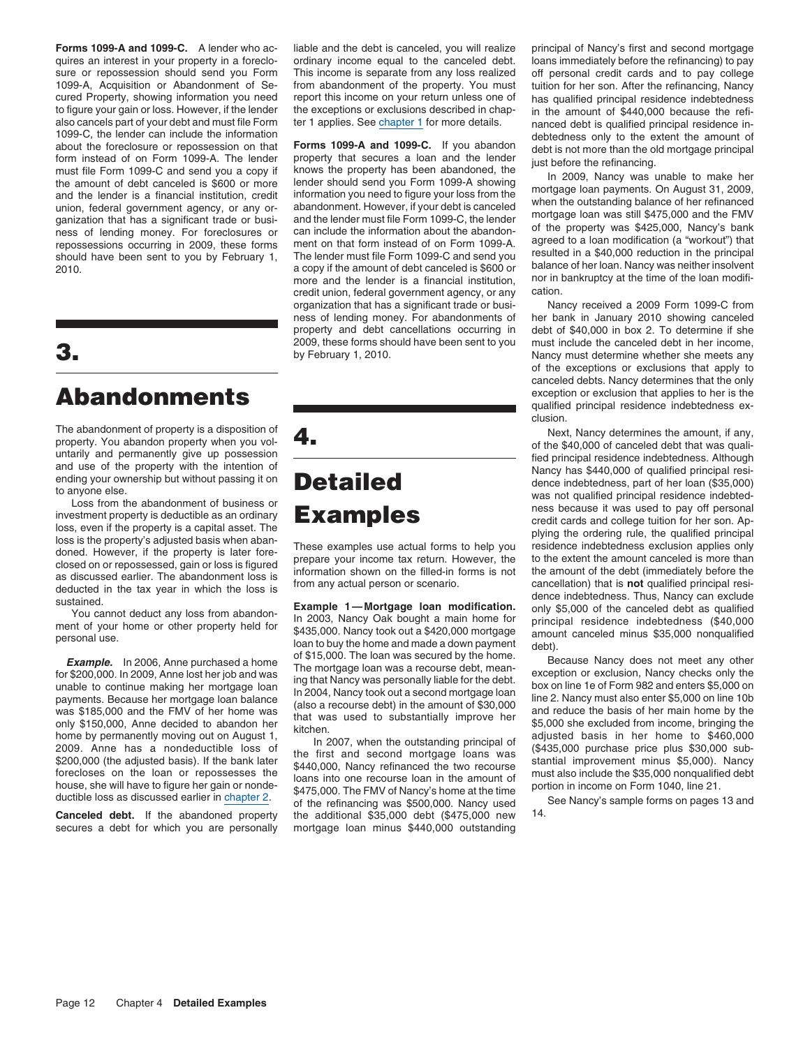**Forms 1099-A and 1099-C.** A lender who ac- liable and the debt is canceled, you will realize principal of Nancy's first and second mortgage quires an interest in your property in a foreclo-<br>sure or repossession should send you Form This income is separate from any loss realized off personal credit cards and to pay college sure or repossession should send you Form This income is separate from any loss realized off personal credit cards and to pay college<br>1099-A, Acquisition or Abandonment of Se- from abandonment of the property. You must tui 1099-A, Acquisition or Abandonment of Se-<br>
1099-A, Acquisition or Abandonment of Se-<br>
1099-A, Acquisition or Abandonment of Se-<br>
1009-A, Acquisition or Abandonment of Se-<br>
1009-A, Acquisition or Abandonment of Se-<br>
1009-A, cured Property, showing information you need report this income on your return unless one of has qualified principal residence indebtedness<br>to figure your gain or loss. However, if the lender the exceptions or exclusions d to figure your gain or loss. However, if the lender the exceptions or exclusions described in chap-<br>also cancels part of your debt and must file Form ter 1 applies. See chapter 1 for more details. In panced debt is qualifi also cancels part of your debt and must file Form the 1 applies. See chapter 1 for more details. annoced debt is qualified principal residence in-<br>1099-C, the lender can include the information on that<br>form instead of on F mess of lending money. For foreclosures or can include the information about the abandon-<br>repossessions occurring in 2009, these forms ment on that form instead of on Form 1099-A. agreed to a loan modification (a "workout" Should have been sent to you by February 1, The lender must file Form 1099-C and send you resulted in a \$40,000 reduction in the principal should have been sent to you by February 1, The lender must file Form 1099-C and se a copy if the amount of debt canceled is \$600 or

secures a debt for which you are personally mortgage loan minus \$440,000 outstanding

more and the lender is a financial institution, nor in bankruptcy at the time of the loan modifi-<br>credit union, federal government agency, or any cation. credit union, federal government agency, or any organization that has a significant trade or busi- Nancy received a 2009 Form 1099-C from ness of lending money. For abandonments of her bank in January 2010 showing canceled property and debt cancellations occurring in debt of \$40,000 in box 2. To determine if she

**Canceled debt.** If the abandoned property the additional \$35,000 debt (\$475,000 new 14.

2009, these forms should have been sent to you must include the canceled debt in her income, **3.** by February 1, 2010. Nancy must determine whether she meets any of the exceptions or exclusions that apply to canceled debts. Nancy determines that the only **Abandonments** exception or exclusion that applies to her is the qualified principal residence indebtedness exclusion.

The abandoment of property, is a disposition of the S40,000 of caroeled debt that was qualitating and permanetity give up possession in the multiplit and permanetity give up to the S40,000 of caroeled debt that was qualit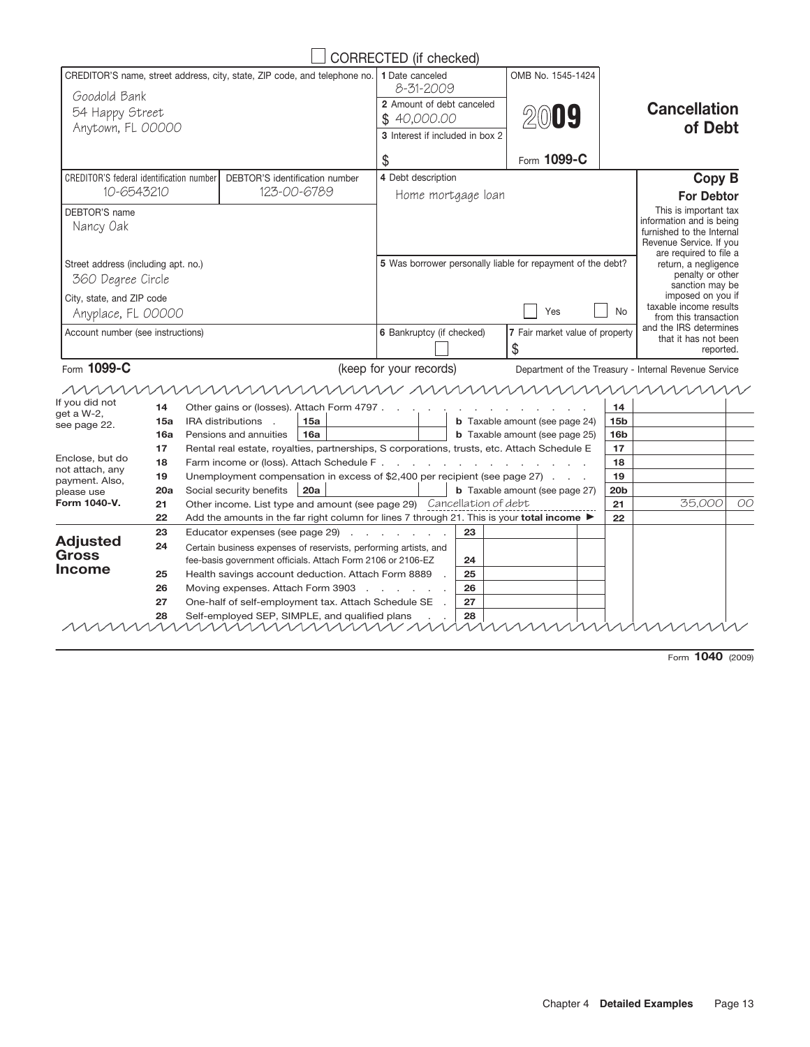| CREDITOR'S name, street address, city, state, ZIP code, and telephone no.<br>Goodold Bank<br>54 Happy Street<br>Anytown, FL 00000<br><b>CREDITOR'S federal identification number</b> |                                |                                                                       | 1 Date canceled<br>8-31-2009<br>2 Amount of debt canceled<br>\$40,000.00<br>3 Interest if included in box 2 |    | OMB No. 1545-1424                                                                                |                 | <b>Cancellation</b>                                   |    |
|--------------------------------------------------------------------------------------------------------------------------------------------------------------------------------------|--------------------------------|-----------------------------------------------------------------------|-------------------------------------------------------------------------------------------------------------|----|--------------------------------------------------------------------------------------------------|-----------------|-------------------------------------------------------|----|
|                                                                                                                                                                                      |                                |                                                                       |                                                                                                             |    |                                                                                                  |                 |                                                       |    |
|                                                                                                                                                                                      |                                |                                                                       |                                                                                                             |    | 2019                                                                                             |                 |                                                       |    |
|                                                                                                                                                                                      |                                |                                                                       |                                                                                                             |    |                                                                                                  |                 | of Debt                                               |    |
|                                                                                                                                                                                      |                                |                                                                       | \$                                                                                                          |    | Form 1099-C                                                                                      |                 |                                                       |    |
|                                                                                                                                                                                      | DEBTOR'S identification number |                                                                       | 4 Debt description                                                                                          |    |                                                                                                  |                 | <b>Copy B</b>                                         |    |
| 10-6543210                                                                                                                                                                           |                                | 123-00-6789                                                           | Home mortgage loan                                                                                          |    |                                                                                                  |                 | <b>For Debtor</b>                                     |    |
| DEBTOR'S name                                                                                                                                                                        |                                |                                                                       |                                                                                                             |    |                                                                                                  |                 | This is important tax                                 |    |
| Nancy Oak                                                                                                                                                                            |                                |                                                                       |                                                                                                             |    |                                                                                                  |                 | information and is being<br>furnished to the Internal |    |
|                                                                                                                                                                                      |                                |                                                                       |                                                                                                             |    |                                                                                                  |                 | Revenue Service. If you                               |    |
|                                                                                                                                                                                      |                                |                                                                       |                                                                                                             |    |                                                                                                  |                 | are required to file a                                |    |
| Street address (including apt. no.)                                                                                                                                                  |                                |                                                                       |                                                                                                             |    | 5 Was borrower personally liable for repayment of the debt?                                      |                 | return, a negligence<br>penalty or other              |    |
| 360 Degree Circle                                                                                                                                                                    |                                |                                                                       |                                                                                                             |    |                                                                                                  |                 | sanction may be                                       |    |
| City, state, and ZIP code                                                                                                                                                            |                                |                                                                       |                                                                                                             |    |                                                                                                  |                 | imposed on you if<br>taxable income results           |    |
| Anyplace, FL 00000                                                                                                                                                                   |                                |                                                                       |                                                                                                             |    | Yes                                                                                              | No              | from this transaction                                 |    |
| Account number (see instructions)                                                                                                                                                    |                                |                                                                       | 6 Bankruptcy (if checked)                                                                                   |    | 7 Fair market value of property                                                                  |                 | and the IRS determines<br>that it has not been        |    |
|                                                                                                                                                                                      |                                |                                                                       |                                                                                                             |    | \$                                                                                               |                 | reported.                                             |    |
| Form 1099-C                                                                                                                                                                          |                                |                                                                       | (keep for your records)                                                                                     |    |                                                                                                  |                 | Department of the Treasury - Internal Revenue Service |    |
| mmm                                                                                                                                                                                  |                                |                                                                       |                                                                                                             |    | uunnunnun uunnunnunnunnun                                                                        |                 |                                                       |    |
| If you did not<br>14                                                                                                                                                                 |                                | Other gains or (losses). Attach Form 4797.                            |                                                                                                             |    |                                                                                                  | 14              |                                                       |    |
| get a W-2,<br>15a                                                                                                                                                                    | IRA distributions .            | 15a                                                                   |                                                                                                             |    | <b>b</b> Taxable amount (see page 24)                                                            | 15 <sub>b</sub> |                                                       |    |
| see page 22.<br>16a                                                                                                                                                                  | Pensions and annuities         | 16a                                                                   |                                                                                                             |    | <b>b</b> Taxable amount (see page 25)                                                            | 16 <sub>b</sub> |                                                       |    |
| 17                                                                                                                                                                                   |                                |                                                                       |                                                                                                             |    | Rental real estate, royalties, partnerships, S corporations, trusts, etc. Attach Schedule E      | 17              |                                                       |    |
| Enclose, but do<br>18<br>not attach, any                                                                                                                                             |                                |                                                                       |                                                                                                             |    |                                                                                                  | 18              |                                                       |    |
| 19<br>payment. Also,                                                                                                                                                                 |                                |                                                                       |                                                                                                             |    | Unemployment compensation in excess of \$2,400 per recipient (see page 27)                       | 19              |                                                       |    |
| 20a<br>please use<br>Form 1040-V.                                                                                                                                                    | Social security benefits       | 20a                                                                   |                                                                                                             |    | <b>b</b> Taxable amount (see page 27)                                                            | 20 <sub>b</sub> |                                                       |    |
| 21<br>22                                                                                                                                                                             |                                | Other income. List type and amount (see page 29) Cancellation of debt |                                                                                                             |    | Add the amounts in the far right column for lines 7 through 21. This is your <b>total income</b> | 21              | 35,000                                                | OO |
| 23                                                                                                                                                                                   |                                | Educator expenses (see page 29)                                       |                                                                                                             | 23 |                                                                                                  | 22              |                                                       |    |
| <b>Adjusted</b><br>24                                                                                                                                                                |                                | Certain business expenses of reservists, performing artists, and      |                                                                                                             |    |                                                                                                  |                 |                                                       |    |
| <b>Gross</b>                                                                                                                                                                         |                                | fee-basis government officials. Attach Form 2106 or 2106-EZ           |                                                                                                             | 24 |                                                                                                  |                 |                                                       |    |
| Income<br>25                                                                                                                                                                         |                                | Health savings account deduction. Attach Form 8889                    |                                                                                                             | 25 |                                                                                                  |                 |                                                       |    |
| 26                                                                                                                                                                                   |                                | Moving expenses. Attach Form 3903                                     |                                                                                                             | 26 |                                                                                                  |                 |                                                       |    |
| 27                                                                                                                                                                                   |                                | One-half of self-employment tax. Attach Schedule SE                   |                                                                                                             | 27 |                                                                                                  |                 |                                                       |    |
| 28                                                                                                                                                                                   |                                | Self-employed SEP, SIMPLE, and qualified plans<br><u>MMMMMMMMM/</u>   |                                                                                                             | 28 |                                                                                                  |                 |                                                       |    |

Form **1040** (2009)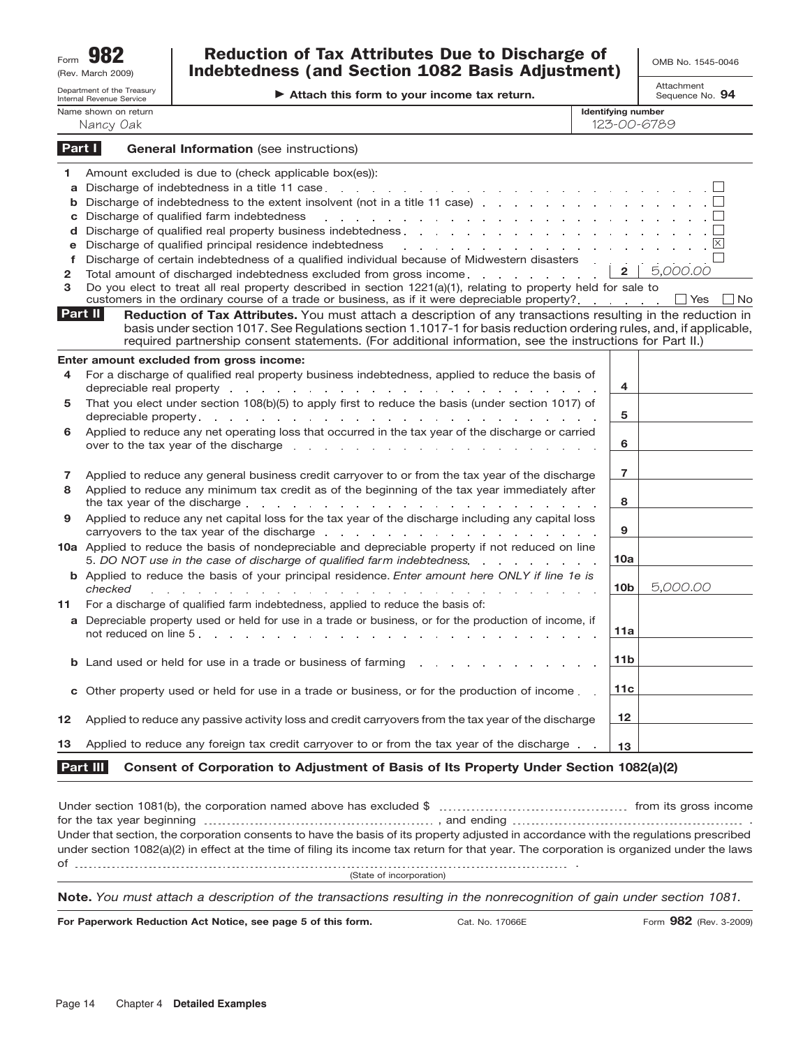| Form | 982               |
|------|-------------------|
|      | (Rev. March 2009) |

## $R_{\text{term}}$  **982 Discussion of Tax Attributes Due to Discharge of**  $\bigcup_{\text{OMB No. 1545-0046}}$ Indebtedness (and Section 1082 Basis Adjustment)

**Attach this form to your income tax return.**

Attachment Sequence No. **94**

|                                                            | Department of the Treasury<br>Internal Revenue Service | Attach this form to your income tax return.                                                                                                                                                                                                                                                                                                                                                                                                                                                                                                                                               |                                          | או וסוונטש<br>Sequence No. 94 |
|------------------------------------------------------------|--------------------------------------------------------|-------------------------------------------------------------------------------------------------------------------------------------------------------------------------------------------------------------------------------------------------------------------------------------------------------------------------------------------------------------------------------------------------------------------------------------------------------------------------------------------------------------------------------------------------------------------------------------------|------------------------------------------|-------------------------------|
|                                                            | Name shown on return<br>Nancy Oak                      |                                                                                                                                                                                                                                                                                                                                                                                                                                                                                                                                                                                           | <b>Identifying number</b><br>123-00-6789 |                               |
|                                                            | Part I                                                 | <b>General Information</b> (see instructions)                                                                                                                                                                                                                                                                                                                                                                                                                                                                                                                                             |                                          |                               |
| 1.<br>a<br>b<br>c<br>d<br>e<br>$\mathbf f$<br>$\mathbf{2}$ |                                                        | Amount excluded is due to (check applicable box(es)):<br>Discharge of indebtedness to the extent insolvent (not in a title 11 case).<br>Discharge of qualified farm indebtedness<br>the contract of the contract of the contract of the contract of the contract of<br>Discharge of qualified principal residence indebtedness<br>and a series of the contract of the contract of the contract of the contract of<br>Discharge of certain indebtedness of a qualified individual because of Midwestern disasters .<br>Total amount of discharged indebtedness excluded from gross income. | 2 <sup>1</sup>                           | 5,000.00                      |
| 3                                                          |                                                        | Do you elect to treat all real property described in section 1221(a)(1), relating to property held for sale to<br>customers in the ordinary course of a trade or business, as if it were depreciable property?                                                                                                                                                                                                                                                                                                                                                                            |                                          | $\Box$ Yes<br>__  No          |
|                                                            | Part II                                                | Reduction of Tax Attributes. You must attach a description of any transactions resulting in the reduction in<br>basis under section 1017. See Regulations section 1.1017-1 for basis reduction ordering rules, and, if applicable,<br>required partnership consent statements. (For additional information, see the instructions for Part II.)                                                                                                                                                                                                                                            |                                          |                               |
| 4                                                          |                                                        | Enter amount excluded from gross income:<br>For a discharge of qualified real property business indebtedness, applied to reduce the basis of<br>depreciable real property enters and a series and a series and a series and a series and a series and a series                                                                                                                                                                                                                                                                                                                            | 4                                        |                               |
| 5                                                          |                                                        | That you elect under section 108(b)(5) to apply first to reduce the basis (under section 1017) of                                                                                                                                                                                                                                                                                                                                                                                                                                                                                         | 5                                        |                               |
| 6                                                          |                                                        | Applied to reduce any net operating loss that occurred in the tax year of the discharge or carried                                                                                                                                                                                                                                                                                                                                                                                                                                                                                        | 6                                        |                               |
| 7<br>8                                                     |                                                        | Applied to reduce any general business credit carryover to or from the tax year of the discharge<br>Applied to reduce any minimum tax credit as of the beginning of the tax year immediately after<br>the tax year of the discharge enters and a series and a series and a series of the discharge enters and a series of the discharge enters and the term of the discharge enters of the discharge enters of the discharge enters                                                                                                                                                       | 7<br>8                                   |                               |
| 9                                                          |                                                        | Applied to reduce any net capital loss for the tax year of the discharge including any capital loss<br>carryovers to the tax year of the discharge entering the state of the discharge of the state of the state of the discharge of the state of the state of the state of the state of the state of the state of the state of the s                                                                                                                                                                                                                                                     | 9                                        |                               |
|                                                            |                                                        | 10a Applied to reduce the basis of nondepreciable and depreciable property if not reduced on line<br>5. DO NOT use in the case of discharge of qualified farm indebtedness.                                                                                                                                                                                                                                                                                                                                                                                                               | 10a                                      |                               |
|                                                            | checked                                                | <b>b</b> Applied to reduce the basis of your principal residence. Enter amount here ONLY if line 1e is<br>de la participat de la participat de la participat de la participat de la participat de                                                                                                                                                                                                                                                                                                                                                                                         | 10 <sub>b</sub>                          | 5.000.00                      |
| 11                                                         |                                                        | For a discharge of qualified farm indebtedness, applied to reduce the basis of:<br>a Depreciable property used or held for use in a trade or business, or for the production of income, if                                                                                                                                                                                                                                                                                                                                                                                                | 11a                                      |                               |
| b                                                          |                                                        | Land used or held for use in a trade or business of farming                                                                                                                                                                                                                                                                                                                                                                                                                                                                                                                               | 11 <sub>b</sub>                          |                               |
|                                                            |                                                        | Other property used or held for use in a trade or business, or for the production of income.                                                                                                                                                                                                                                                                                                                                                                                                                                                                                              | 11c                                      |                               |
| 12                                                         |                                                        | Applied to reduce any passive activity loss and credit carryovers from the tax year of the discharge                                                                                                                                                                                                                                                                                                                                                                                                                                                                                      | 12                                       |                               |
| 13                                                         |                                                        | Applied to reduce any foreign tax credit carryover to or from the tax year of the discharge.                                                                                                                                                                                                                                                                                                                                                                                                                                                                                              | 13                                       |                               |
|                                                            | Part III                                               | Consent of Corporation to Adjustment of Basis of Its Property Under Section 1082(a)(2)                                                                                                                                                                                                                                                                                                                                                                                                                                                                                                    |                                          |                               |

| (State of incorporation)                                                                                                                  |  |
|-------------------------------------------------------------------------------------------------------------------------------------------|--|
|                                                                                                                                           |  |
|                                                                                                                                           |  |
| under section 1082(a)(2) in effect at the time of filing its income tax return for that year. The corporation is organized under the laws |  |
| Under that section, the corporation consents to have the basis of its property adjusted in accordance with the regulations prescribed     |  |
|                                                                                                                                           |  |
|                                                                                                                                           |  |

**Note.** *You must attach a description of the transactions resulting in the nonrecognition of gain under section 1081.*

**For Paperwork Reduction Act Notice, see page 5 of this form.**

Cat. No. 17066E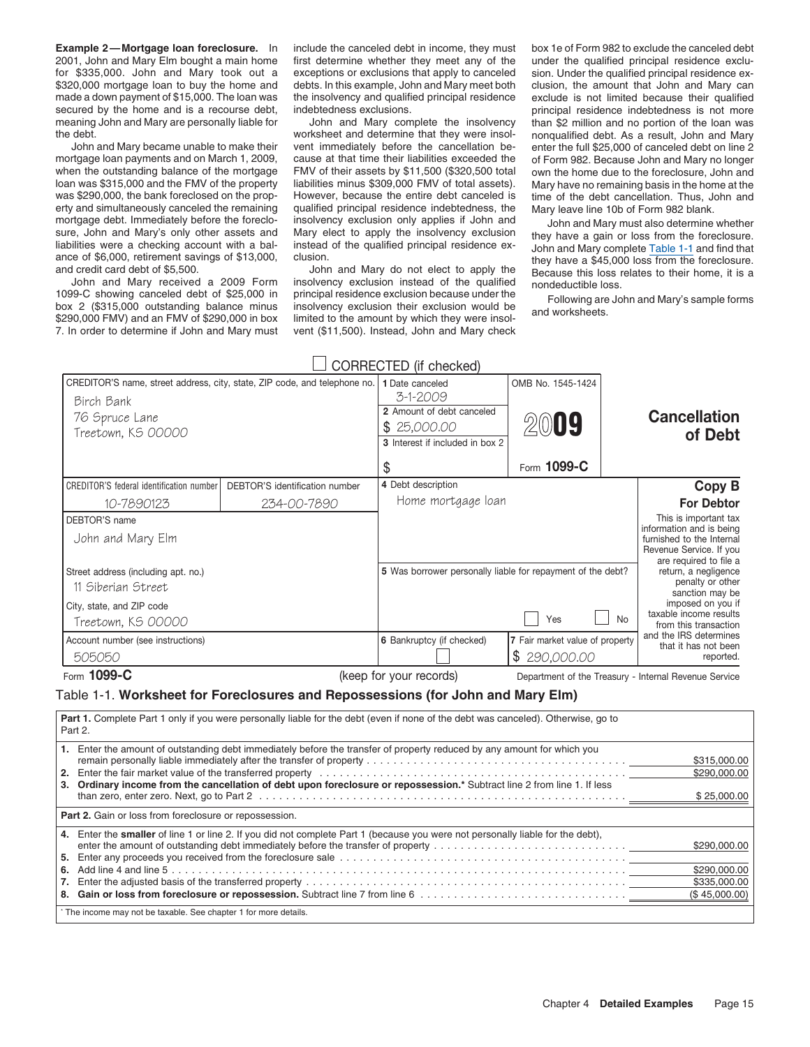**Example 2—Mortgage loan foreclosure.** In include the canceled debt in income, they must box 1e of Form 982 to exclude the canceled debt 2001, John and Mary Elm bought a main home first determine whether they meet any of the under the qualified principal residence exclu-<br>for \$335,000. John and Mary took out a exceptions or exclusions that apply to canceled \$320,000 mortgage loan to buy the home and debts. In this example, John and Mary meet both clusion, the amount that John and Mary can made a down payment of \$15,000. The loan was the insolvency and qualified principal resi made a down payment of \$15,000. The loan was the insolvency and qualified principal residence exclude is not limited because their qualified secured by the home and is a recourse debt, indebtedness exclusions. secured by the home and is a recourse debt, indebtedness exclusions. principal residence indebtedness is not more<br>meaning John and Mary are personally liable for John and Mary complete the insolvency than \$2 million and no

mortgage loan payments and on March 1, 2009, cause at that time their liabilities exceeded the of Form 982. Because John and Mary no longer<br>when the outstanding balance of the mortgage FMV of their assets by \$11,500 (\$320, loan was \$315,000 and the FMV of the property liabilities minus \$309,000 FMV of total assets). Mary have no remaining basis in the home at the was \$290,000, the bank foreclosed on the prop-<br>Was \$290,000, the bank foreclose erty and simultaneously canceled the remaining qualified principal residence indebtedness, the Mary leave line 10b of Form 982 blank.<br>mortgage debt. Immediately before the foreclo-<br>insolvency exclusion only applies if John

box 2 (\$315,000 outstanding balance minus insolvency exclusion their exclusion would be<br>\$290,000 FMV) and an FMV of \$290,000 in box limited to the amount by which they were insol-<br>\$290,000 FMV) and an FMV of \$290,000 in bo 7. In order to determine if John and Mary must vent (\$11,500). Instead, John and Mary check

exceptions or exclusions that apply to canceled

the debt.<br>4 worksheet and determine that they were insol-<br>4 John and Mary became unable to make their<br>4 vent immediately before the cancellation be-enter the full \$25,000 of canceled debt on line However, because the entire debt canceled is time of the debt cancellation. Thus, John and qualified principal residence indebtedness, the Mary leave line 10b of Form 982 blank. mortgage debt. Immediately before the foreclo-<br>sure, John and Mary's only other assets and Mary elect to apply the insolvency exclusion they have a gain or loss from the foreclosure.<br>Iiabilities were a checking account wit

 $\Box$  CORRECTED (if checked)

than \$2 million and no portion of the loan was enter the full \$25,000 of canceled debt on line 2 own the home due to the foreclosure, John and

liabilities were a checking account with a bal-<br>ance of \$6,000, retirement savings of \$13,000,<br>and credit card debt of \$5,500.<br>John and Mary do not elect to apply the<br>John and Mary received a 2009 Form insolvency exclusion

| Birch Bank<br>76 Spruce Lane<br>Treetown, KS 00000        | CREDITOR'S name, street address, city, state, ZIP code, and telephone no.                                                         | 1 Date canceled<br>3-1-2009<br>2 Amount of debt canceled<br>\$25,000.00<br>3 Interest if included in box 2<br>\$ | OMB No. 1545-1424<br>2009<br>Form 1099-C |    | <b>Cancellation</b><br>of Debt                                                                                                      |
|-----------------------------------------------------------|-----------------------------------------------------------------------------------------------------------------------------------|------------------------------------------------------------------------------------------------------------------|------------------------------------------|----|-------------------------------------------------------------------------------------------------------------------------------------|
| <b>CREDITOR'S federal identification number</b>           | DEBTOR'S identification number                                                                                                    | 4 Debt description                                                                                               |                                          |    | <b>Copy B</b>                                                                                                                       |
| 10-7890123                                                | 234-00-7890                                                                                                                       | Home mortgage loan                                                                                               |                                          |    | <b>For Debtor</b>                                                                                                                   |
| DEBTOR'S name<br>John and Mary Elm                        |                                                                                                                                   |                                                                                                                  |                                          |    | This is important tax<br>information and is being<br>furnished to the Internal<br>Revenue Service. If you<br>are required to file a |
| Street address (including apt. no.)<br>11 Siberian Street |                                                                                                                                   | 5 Was borrower personally liable for repayment of the debt?                                                      |                                          |    | return, a negligence<br>penalty or other<br>sanction may be                                                                         |
| City, state, and ZIP code<br>Treetown, KS 00000           |                                                                                                                                   |                                                                                                                  | Yes                                      | No | imposed on you if<br>taxable income results<br>from this transaction                                                                |
| Account number (see instructions)                         |                                                                                                                                   | 6 Bankruptcy (if checked)                                                                                        | 7 Fair market value of property          |    | and the IRS determines<br>that it has not been                                                                                      |
| 505050                                                    |                                                                                                                                   |                                                                                                                  | \$290,000.00                             |    | reported.                                                                                                                           |
| Form 1099-C                                               |                                                                                                                                   | (keep for your records)                                                                                          |                                          |    | Department of the Treasury - Internal Revenue Service                                                                               |
|                                                           | Table 1-1. Worksheet for Foreclosures and Repossessions (for John and Mary Elm)                                                   |                                                                                                                  |                                          |    |                                                                                                                                     |
| Part 2.                                                   | Part 1. Complete Part 1 only if you were personally liable for the debt (even if none of the debt was canceled). Otherwise, go to |                                                                                                                  |                                          |    |                                                                                                                                     |
|                                                           | 1. Enter the amount of outstanding debt immediately before the transfer of property reduced by any amount for which you           |                                                                                                                  |                                          |    | \$315,000.00<br>\$290,000.00                                                                                                        |
|                                                           | 3. Ordinary income from the cancellation of debt upon foreclosure or repossession.* Subtract line 2 from line 1. If less          |                                                                                                                  |                                          |    | \$25,000.00                                                                                                                         |
| Part 2. Gain or loss from foreclosure or repossession.    |                                                                                                                                   |                                                                                                                  |                                          |    |                                                                                                                                     |
|                                                           | 4. Enter the smaller of line 1 or line 2. If you did not complete Part 1 (because you were not personally liable for the debt),   |                                                                                                                  |                                          |    | \$290,000.00                                                                                                                        |
|                                                           |                                                                                                                                   |                                                                                                                  |                                          |    | \$290,000.00                                                                                                                        |
|                                                           |                                                                                                                                   |                                                                                                                  |                                          |    | \$335,000.00<br>(\$45,000.00)                                                                                                       |
|                                                           |                                                                                                                                   |                                                                                                                  |                                          |    |                                                                                                                                     |

The income may not be taxable. See chapter 1 for more details.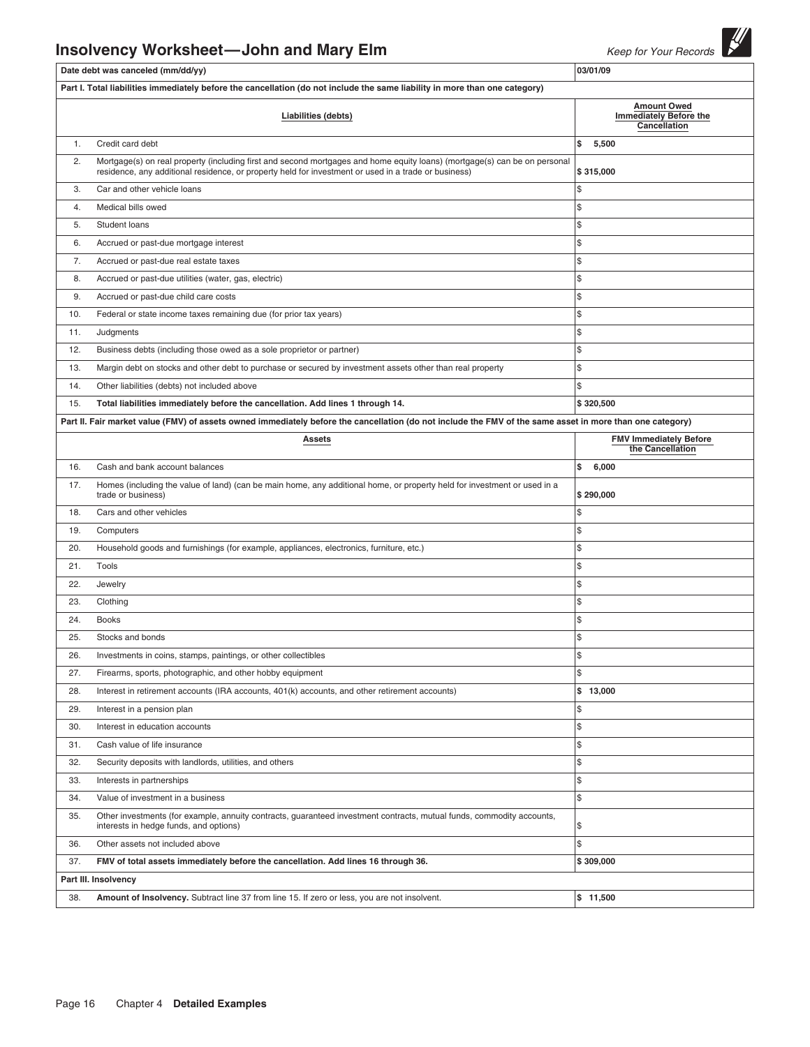# **Insolvency Worksheet—John and Mary Elm** Keep for Your Records

|     | Date debt was canceled (mm/dd/yy)                                                                                                                                                                                                 | 03/01/09                                          |  |  |  |  |  |
|-----|-----------------------------------------------------------------------------------------------------------------------------------------------------------------------------------------------------------------------------------|---------------------------------------------------|--|--|--|--|--|
|     | Part I. Total liabilities immediately before the cancellation (do not include the same liability in more than one category)                                                                                                       |                                                   |  |  |  |  |  |
|     | <b>Amount Owed</b><br><b>Immediately Before the</b><br>Liabilities (debts)<br>Cancellation                                                                                                                                        |                                                   |  |  |  |  |  |
| 1.  | Credit card debt                                                                                                                                                                                                                  | \$<br>5,500                                       |  |  |  |  |  |
| 2.  | Mortgage(s) on real property (including first and second mortgages and home equity loans) (mortgage(s) can be on personal<br>residence, any additional residence, or property held for investment or used in a trade or business) | \$315,000                                         |  |  |  |  |  |
| 3.  | Car and other vehicle loans                                                                                                                                                                                                       | \$                                                |  |  |  |  |  |
| 4.  | Medical bills owed                                                                                                                                                                                                                | \$                                                |  |  |  |  |  |
| 5.  | Student loans                                                                                                                                                                                                                     | \$                                                |  |  |  |  |  |
| 6.  | Accrued or past-due mortgage interest                                                                                                                                                                                             | \$                                                |  |  |  |  |  |
| 7.  | Accrued or past-due real estate taxes                                                                                                                                                                                             | \$                                                |  |  |  |  |  |
| 8.  | Accrued or past-due utilities (water, gas, electric)                                                                                                                                                                              | \$                                                |  |  |  |  |  |
| 9.  | Accrued or past-due child care costs                                                                                                                                                                                              | \$                                                |  |  |  |  |  |
| 10. | Federal or state income taxes remaining due (for prior tax years)                                                                                                                                                                 | \$                                                |  |  |  |  |  |
| 11. | Judgments                                                                                                                                                                                                                         | \$                                                |  |  |  |  |  |
| 12. | Business debts (including those owed as a sole proprietor or partner)                                                                                                                                                             | \$                                                |  |  |  |  |  |
| 13. | Margin debt on stocks and other debt to purchase or secured by investment assets other than real property                                                                                                                         | \$                                                |  |  |  |  |  |
| 14. | Other liabilities (debts) not included above                                                                                                                                                                                      | \$                                                |  |  |  |  |  |
| 15. | Total liabilities immediately before the cancellation. Add lines 1 through 14.                                                                                                                                                    | \$320,500                                         |  |  |  |  |  |
|     | Part II. Fair market value (FMV) of assets owned immediately before the cancellation (do not include the FMV of the same asset in more than one category)                                                                         |                                                   |  |  |  |  |  |
|     | <b>Assets</b>                                                                                                                                                                                                                     | <b>FMV Immediately Before</b><br>the Cancellation |  |  |  |  |  |
| 16. | Cash and bank account balances                                                                                                                                                                                                    | \$<br>6,000                                       |  |  |  |  |  |
| 17. | Homes (including the value of land) (can be main home, any additional home, or property held for investment or used in a<br>trade or business)                                                                                    | \$290,000                                         |  |  |  |  |  |
| 18. | Cars and other vehicles                                                                                                                                                                                                           | \$                                                |  |  |  |  |  |
| 19. | Computers                                                                                                                                                                                                                         | \$                                                |  |  |  |  |  |
| 20. | Household goods and furnishings (for example, appliances, electronics, furniture, etc.)                                                                                                                                           | \$                                                |  |  |  |  |  |
| 21. | Tools                                                                                                                                                                                                                             | \$                                                |  |  |  |  |  |
| 22. | Jewelry                                                                                                                                                                                                                           | \$                                                |  |  |  |  |  |
| 23. | Clothing                                                                                                                                                                                                                          | \$                                                |  |  |  |  |  |
| 24. | <b>Books</b>                                                                                                                                                                                                                      | \$                                                |  |  |  |  |  |
| 25. | Stocks and bonds                                                                                                                                                                                                                  | \$                                                |  |  |  |  |  |
| 26. | Investments in coins, stamps, paintings, or other collectibles                                                                                                                                                                    | \$                                                |  |  |  |  |  |
| 27. | Firearms, sports, photographic, and other hobby equipment                                                                                                                                                                         | \$                                                |  |  |  |  |  |
| 28. | Interest in retirement accounts (IRA accounts, 401(k) accounts, and other retirement accounts)                                                                                                                                    | \$13,000                                          |  |  |  |  |  |
| 29. | Interest in a pension plan                                                                                                                                                                                                        | \$                                                |  |  |  |  |  |
| 30. | Interest in education accounts                                                                                                                                                                                                    | \$                                                |  |  |  |  |  |
| 31. | Cash value of life insurance                                                                                                                                                                                                      | \$                                                |  |  |  |  |  |
| 32. | Security deposits with landlords, utilities, and others                                                                                                                                                                           | \$                                                |  |  |  |  |  |
| 33. | Interests in partnerships                                                                                                                                                                                                         | \$                                                |  |  |  |  |  |
| 34. | Value of investment in a business                                                                                                                                                                                                 | \$                                                |  |  |  |  |  |
| 35. | Other investments (for example, annuity contracts, guaranteed investment contracts, mutual funds, commodity accounts,<br>interests in hedge funds, and options)                                                                   | \$                                                |  |  |  |  |  |
| 36. | Other assets not included above                                                                                                                                                                                                   | \$                                                |  |  |  |  |  |
| 37. | FMV of total assets immediately before the cancellation. Add lines 16 through 36.                                                                                                                                                 | \$309,000                                         |  |  |  |  |  |
|     | Part III. Insolvency                                                                                                                                                                                                              |                                                   |  |  |  |  |  |
| 38. | Amount of Insolvency. Subtract line 37 from line 15. If zero or less, you are not insolvent.                                                                                                                                      | \$11,500                                          |  |  |  |  |  |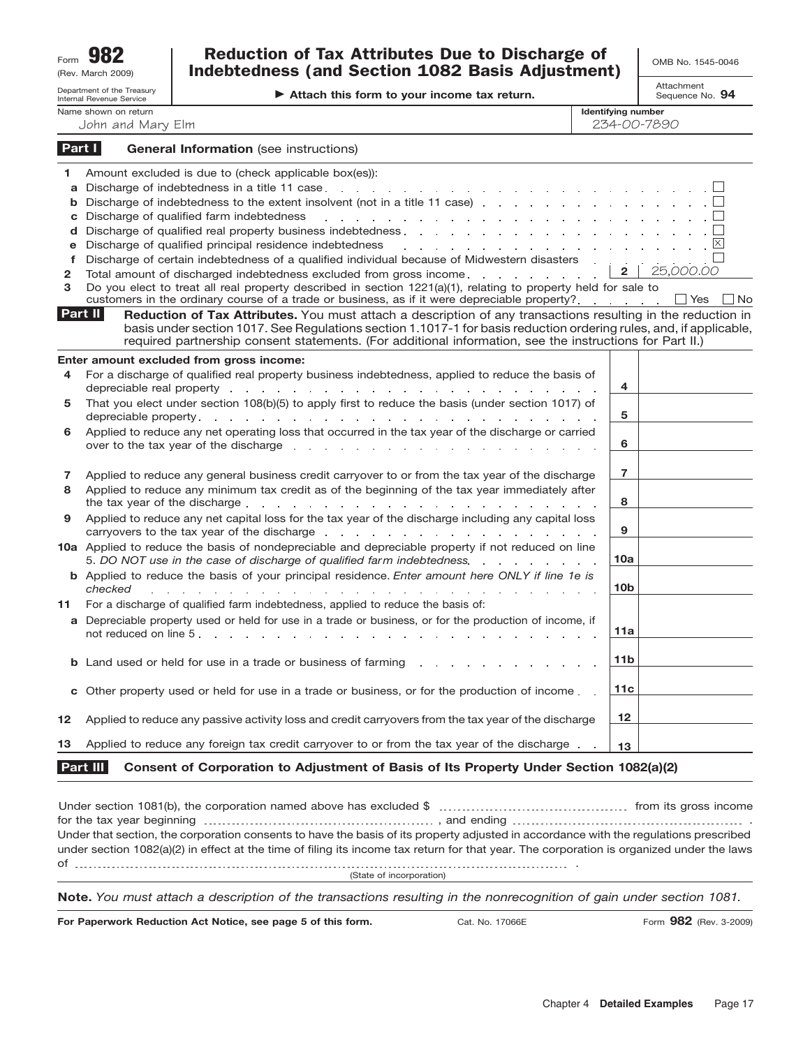| Form | 982               |
|------|-------------------|
|      | (Rev. March 2009) |

## $R_{\text{term}}$  **982 Discussion of Tax Attributes Due to Discharge of**  $\bigcup_{\text{OMB No. 1545-0046}}$ Indebtedness (and Section 1082 Basis Adjustment)

Attachment Sequence No. **94**

|                                 | Department of the Treasury<br><b>Internal Revenue Service</b> | Attach this form to your income tax return.                                                                                                                                                                                                                                                                                                                                                                                                                                                                                                                                                                                                                                      |                                          | הננטטו וו וטוונ<br>Sequence No. 94 |
|---------------------------------|---------------------------------------------------------------|----------------------------------------------------------------------------------------------------------------------------------------------------------------------------------------------------------------------------------------------------------------------------------------------------------------------------------------------------------------------------------------------------------------------------------------------------------------------------------------------------------------------------------------------------------------------------------------------------------------------------------------------------------------------------------|------------------------------------------|------------------------------------|
|                                 | Name shown on return<br>John and Mary Elm                     |                                                                                                                                                                                                                                                                                                                                                                                                                                                                                                                                                                                                                                                                                  | <b>Identifying number</b><br>234-00-7890 |                                    |
| Part I                          |                                                               | <b>General Information</b> (see instructions)                                                                                                                                                                                                                                                                                                                                                                                                                                                                                                                                                                                                                                    |                                          |                                    |
| 1<br>a<br>b<br>C                |                                                               | Amount excluded is due to (check applicable box(es)):<br>Discharge of indebtedness to the extent insolvent (not in a title 11 case)<br>Discharge of qualified farm indebtedness<br>the contract of the contract of the contract of the contract of the contract of                                                                                                                                                                                                                                                                                                                                                                                                               |                                          |                                    |
| d<br>e<br>$\mathbf f$<br>2<br>3 |                                                               | Discharge of qualified principal residence indebtedness<br>a construction of the construction of the construction of the construction of the construction of the construction of the construction of the construction of the construction of the construction of the construction of the<br>Discharge of certain indebtedness of a qualified individual because of Midwestern disasters<br>Total amount of discharged indebtedness excluded from gross income.<br>Do you elect to treat all real property described in section 1221(a)(1), relating to property held for sale to<br>customers in the ordinary course of a trade or business, as if it were depreciable property? | $\mathbf{2}$                             | 25,000.00<br>$\Box$ No             |
| Part II                         |                                                               | Reduction of Tax Attributes. You must attach a description of any transactions resulting in the reduction in<br>basis under section 1017. See Regulations section 1.1017-1 for basis reduction ordering rules, and, if applicable,<br>required partnership consent statements. (For additional information, see the instructions for Part II.)                                                                                                                                                                                                                                                                                                                                   |                                          | ∐ Yes                              |
| 4                               |                                                               | Enter amount excluded from gross income:<br>For a discharge of qualified real property business indebtedness, applied to reduce the basis of<br>depreciable real property entering and and and and and annual contract of the contract of the contract of the contract of the contract of the contract of the contract of the contract of the contract of the contract of the                                                                                                                                                                                                                                                                                                    | 4                                        |                                    |
| 5                               |                                                               | That you elect under section 108(b)(5) to apply first to reduce the basis (under section 1017) of                                                                                                                                                                                                                                                                                                                                                                                                                                                                                                                                                                                | 5                                        |                                    |
| 6                               |                                                               | Applied to reduce any net operating loss that occurred in the tax year of the discharge or carried<br>over to the tax year of the discharge entitled as a set of the tax year of the discharge entitled as a set of the tax of the discharge entitled as a set of the tax of the discharge entitled as a set of the tax of the disch                                                                                                                                                                                                                                                                                                                                             | 6                                        |                                    |
| 7<br>8                          |                                                               | Applied to reduce any general business credit carryover to or from the tax year of the discharge<br>Applied to reduce any minimum tax credit as of the beginning of the tax year immediately after<br>the tax year of the discharge entries and a series of the discharge entries and a series of the discharge entries and a series of the discharge entries of the discharge entries of the discharge entries of the discharge ent                                                                                                                                                                                                                                             | $\overline{7}$<br>8                      |                                    |
| 9                               |                                                               | Applied to reduce any net capital loss for the tax year of the discharge including any capital loss<br>carryovers to the tax year of the discharge entitled as a set of the tax of the discharge entitled as a set of the discharge of the set of the set of the set of the set of the set of the set of the set of the set of the se                                                                                                                                                                                                                                                                                                                                            | 9                                        |                                    |
|                                 |                                                               | 10a Applied to reduce the basis of nondepreciable and depreciable property if not reduced on line<br>5. DO NOT use in the case of discharge of qualified farm indebtedness.                                                                                                                                                                                                                                                                                                                                                                                                                                                                                                      | 10a                                      |                                    |
|                                 | checked                                                       | <b>b</b> Applied to reduce the basis of your principal residence. Enter amount here ONLY if line 1e is<br>and the contract of the contract of the contract of                                                                                                                                                                                                                                                                                                                                                                                                                                                                                                                    | 10 <sub>b</sub>                          |                                    |
| 11                              |                                                               | For a discharge of qualified farm indebtedness, applied to reduce the basis of:<br>a Depreciable property used or held for use in a trade or business, or for the production of income, if<br>not reduced on line 5.<br>and a straight and a straight                                                                                                                                                                                                                                                                                                                                                                                                                            | 11a                                      |                                    |
| b.                              |                                                               | Land used or held for use in a trade or business of farming                                                                                                                                                                                                                                                                                                                                                                                                                                                                                                                                                                                                                      | 11 <sub>b</sub>                          |                                    |
| c                               |                                                               | Other property used or held for use in a trade or business, or for the production of income.                                                                                                                                                                                                                                                                                                                                                                                                                                                                                                                                                                                     | 11c                                      |                                    |
| 12                              |                                                               | Applied to reduce any passive activity loss and credit carryovers from the tax year of the discharge                                                                                                                                                                                                                                                                                                                                                                                                                                                                                                                                                                             | 12                                       |                                    |
| 13                              |                                                               | Applied to reduce any foreign tax credit carryover to or from the tax year of the discharge.                                                                                                                                                                                                                                                                                                                                                                                                                                                                                                                                                                                     | 13                                       |                                    |
|                                 | Part III                                                      | Consent of Corporation to Adjustment of Basis of Its Property Under Section 1082(a)(2)                                                                                                                                                                                                                                                                                                                                                                                                                                                                                                                                                                                           |                                          |                                    |

| Under that section, the corporation consents to have the basis of its property adjusted in accordance with the regulations prescribed     |  |
|-------------------------------------------------------------------------------------------------------------------------------------------|--|
| under section 1082(a)(2) in effect at the time of filing its income tax return for that year. The corporation is organized under the laws |  |
|                                                                                                                                           |  |
| (State of incorporation)                                                                                                                  |  |
| Nets, Vaugust ottaab a desarintian of the transpotions resulting in the nonreasonitian of gain under section 1001                         |  |

**Note.** *You must attach a description of the transactions resulting in the nonrecognition of gain under section 1081.*

**For Paperwork Reduction Act Notice, see page 5 of this form.**

Cat. No. 17066E

Form **982** (Rev. 3-2009)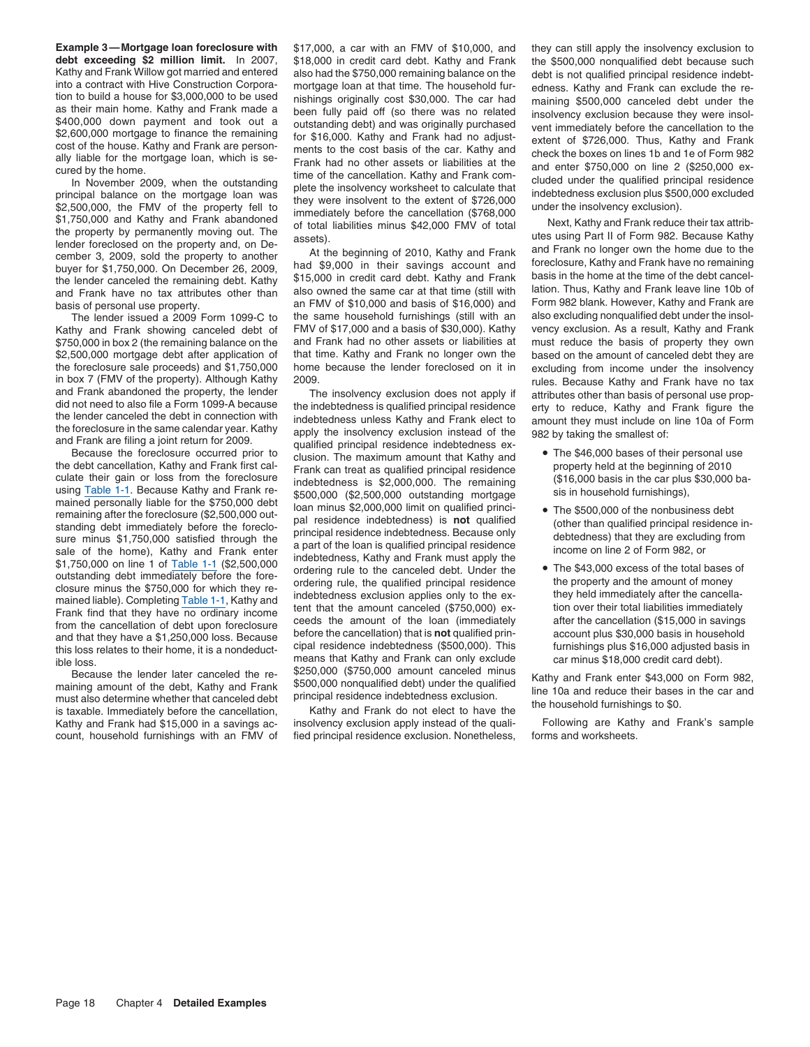\$750,000 in box 2 (the remaining balance on the in box 7 (FMV of the property). Although Kathy 2009.<br>And Frank abandoned the property, the lender The insolvency exclusion does not apply if attributes other than basis of personal use prop-

must also determine whether that canceled debt principal residence indebtedness exclusion.<br>is taxable. Immediately before the cancellation, Kathy and Frank do not elect to have the<br>Kathy and Frank had \$15,000 in a savings Kathy and Frank had \$15,000 in a savings ac- insolvency exclusion apply instead of the qualicount, household furnishings with an FMV of fied principal residence exclusion. Nonetheless, forms and worksheets.

**Example 3—Mortgage loan foreclosure with** \$17,000, a car with an FMV of \$10,000, and they can still apply the insolvency exclusion to debt exceeding \$2 million limit. In 2007, \$18,000 in credit card debt. Kathy and Frank debt exceeding \$2 million limit. In 2007, \$18,000 in credit card debt. Kathy and Frank the \$500,000 nonqualified debt because such the Kathy and Frank Willow got married and entered also had the \$750,000 remaining balance Kathy and Frank Willing optmared and the 4750,000 emaining balance on the debt is not qualified principal residence indebt-<br>Kind a contract with Hive Construction Corpora-<br>mortgage loan at that time. The household fur-<br>edu

basis of personal use property.<br>an FMV of \$10,000 and basis of \$16,000) and Form 982 blank. However, Kathy and Frank are<br>The lender issued a 2009 Form 1099-C to the same household furnishings (still with an also excluding The lender issued a 2009 Form 1099-C to the same household furnishings (still with an also excluding nonqualified debt under the insol-<br>thy and Frank showing canceled debt of FMV of \$17,000 and a basis of \$30,000). Kathy v Kathy and Frank showing canceled debt of FMV of \$17,000 and a basis of \$30,000). Kathy vency exclusion. As a result, Kathy and Frank<br>\$750,000 in box 2 (the remaining balance on the and Frank had no other assets or liabilit \$2,500,000 mortgage debt after application of that time. Kathy and Frank no longer own the based on the amount of canceled debt they are the foreclosure sale proceeds) and \$1,750,000 home because the lender foreclosed on i the foreclosure sale proceeds) and \$1,750,000 home because the lender foreclosed on it in excluding from income under the insolvency<br>in box 7 (FMV of the property). Although Kathy 2009.

and Frank abandoned the property, the lender<br>
did not need to also file a Form 1099-A because the indebtedness is qualified principal residence<br>
die a Form the lender canceled to also file a Form of Digital of the control Framining after the foreclosure (\$2,500,000 unit of and minus \$2,000,000 unit on qualified principal residence indebtedness) is **not** qualified time and the than qualified set in summand general standing dent in the manne Because the lender later canceled the re- \$250,000 (\$750,000 amount canceled minus<br>maining amount of the debt, Kathy and Frank \$500,000 nonqualified debt) under the qualified<br>must also determine whether that canceled debt

- 
- 
-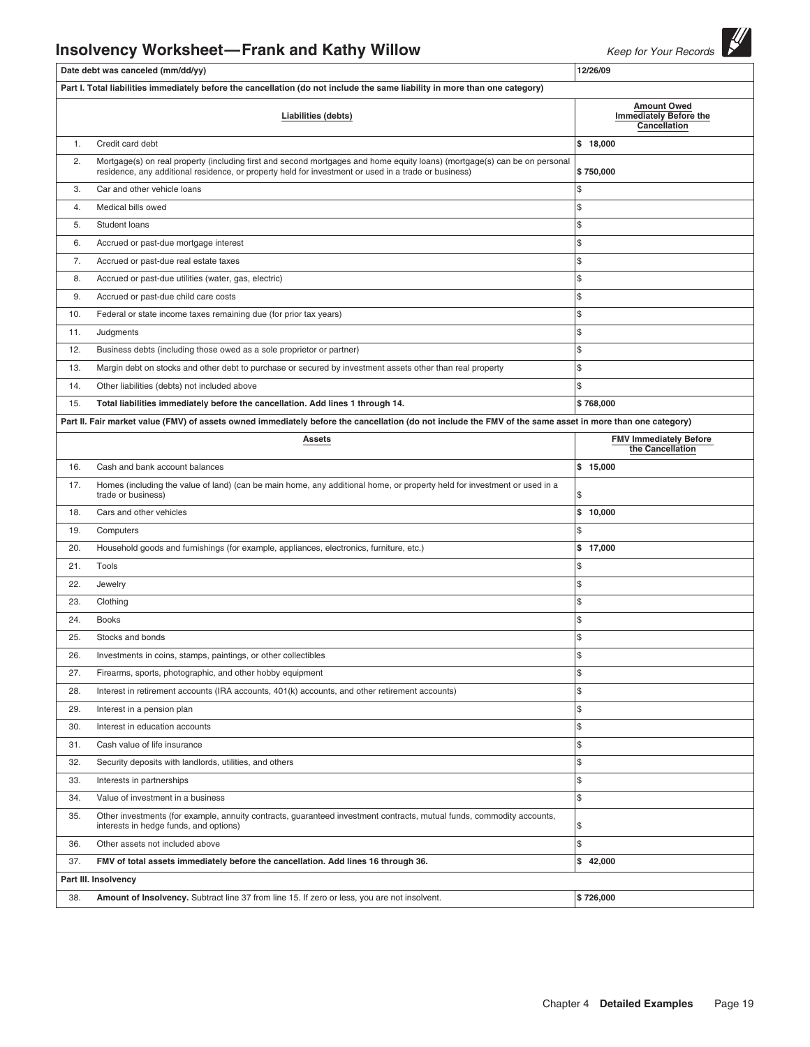# **Insolvency Worksheet—Frank and Kathy Willow** Keep for Your Records

|     | Date debt was canceled (mm/dd/yy)                                                                                                                                                                                                 | 12/26/09                                          |  |  |  |
|-----|-----------------------------------------------------------------------------------------------------------------------------------------------------------------------------------------------------------------------------------|---------------------------------------------------|--|--|--|
|     | Part I. Total liabilities immediately before the cancellation (do not include the same liability in more than one category)                                                                                                       |                                                   |  |  |  |
|     | <b>Amount Owed</b><br><b>Immediately Before the</b><br>Liabilities (debts)<br>Cancellation                                                                                                                                        |                                                   |  |  |  |
| 1.  | Credit card debt                                                                                                                                                                                                                  | \$18,000                                          |  |  |  |
| 2.  | Mortgage(s) on real property (including first and second mortgages and home equity loans) (mortgage(s) can be on personal<br>residence, any additional residence, or property held for investment or used in a trade or business) | \$750,000                                         |  |  |  |
| 3.  | Car and other vehicle loans                                                                                                                                                                                                       | \$                                                |  |  |  |
| 4.  | Medical bills owed                                                                                                                                                                                                                | \$                                                |  |  |  |
| 5.  | Student loans                                                                                                                                                                                                                     | \$                                                |  |  |  |
| 6.  | Accrued or past-due mortgage interest                                                                                                                                                                                             | \$                                                |  |  |  |
| 7.  | Accrued or past-due real estate taxes                                                                                                                                                                                             | \$                                                |  |  |  |
| 8.  | Accrued or past-due utilities (water, gas, electric)                                                                                                                                                                              | \$                                                |  |  |  |
| 9.  | Accrued or past-due child care costs                                                                                                                                                                                              | \$                                                |  |  |  |
| 10. | Federal or state income taxes remaining due (for prior tax years)                                                                                                                                                                 | \$                                                |  |  |  |
| 11. | Judgments                                                                                                                                                                                                                         | \$                                                |  |  |  |
| 12. | Business debts (including those owed as a sole proprietor or partner)                                                                                                                                                             | \$                                                |  |  |  |
| 13. | Margin debt on stocks and other debt to purchase or secured by investment assets other than real property                                                                                                                         | \$                                                |  |  |  |
| 14. | Other liabilities (debts) not included above                                                                                                                                                                                      | \$                                                |  |  |  |
| 15. | Total liabilities immediately before the cancellation. Add lines 1 through 14.                                                                                                                                                    | \$768,000                                         |  |  |  |
|     | Part II. Fair market value (FMV) of assets owned immediately before the cancellation (do not include the FMV of the same asset in more than one category)                                                                         |                                                   |  |  |  |
|     | <b>Assets</b>                                                                                                                                                                                                                     | <b>FMV Immediately Before</b><br>the Cancellation |  |  |  |
| 16. | Cash and bank account balances                                                                                                                                                                                                    | \$15,000                                          |  |  |  |
| 17. | Homes (including the value of land) (can be main home, any additional home, or property held for investment or used in a<br>trade or business)                                                                                    | \$                                                |  |  |  |
| 18. | Cars and other vehicles                                                                                                                                                                                                           | \$10,000                                          |  |  |  |
| 19. | Computers                                                                                                                                                                                                                         | \$                                                |  |  |  |
| 20. | Household goods and furnishings (for example, appliances, electronics, furniture, etc.)                                                                                                                                           | \$17,000                                          |  |  |  |
| 21. | Tools                                                                                                                                                                                                                             | \$                                                |  |  |  |
| 22. | Jewelry                                                                                                                                                                                                                           | \$                                                |  |  |  |
| 23. | Clothing                                                                                                                                                                                                                          | \$                                                |  |  |  |
| 24. | <b>Books</b>                                                                                                                                                                                                                      | \$                                                |  |  |  |
| 25. | Stocks and bonds                                                                                                                                                                                                                  | \$                                                |  |  |  |
| 26. | Investments in coins, stamps, paintings, or other collectibles                                                                                                                                                                    | ¢                                                 |  |  |  |
| 27. | Firearms, sports, photographic, and other hobby equipment                                                                                                                                                                         | \$                                                |  |  |  |
| 28. | Interest in retirement accounts (IRA accounts, 401(k) accounts, and other retirement accounts)                                                                                                                                    | \$                                                |  |  |  |
| 29. | Interest in a pension plan                                                                                                                                                                                                        | \$                                                |  |  |  |
| 30. | Interest in education accounts                                                                                                                                                                                                    | \$                                                |  |  |  |
| 31. | Cash value of life insurance                                                                                                                                                                                                      | \$                                                |  |  |  |
| 32. | Security deposits with landlords, utilities, and others                                                                                                                                                                           | \$                                                |  |  |  |
| 33. | Interests in partnerships                                                                                                                                                                                                         | \$                                                |  |  |  |
| 34. | Value of investment in a business                                                                                                                                                                                                 | \$                                                |  |  |  |
| 35. | Other investments (for example, annuity contracts, guaranteed investment contracts, mutual funds, commodity accounts,<br>interests in hedge funds, and options)                                                                   | \$                                                |  |  |  |
| 36. | Other assets not included above                                                                                                                                                                                                   | \$                                                |  |  |  |
| 37. | FMV of total assets immediately before the cancellation. Add lines 16 through 36.                                                                                                                                                 | \$42,000                                          |  |  |  |
|     | Part III. Insolvency                                                                                                                                                                                                              |                                                   |  |  |  |
| 38. | Amount of Insolvency. Subtract line 37 from line 15. If zero or less, you are not insolvent.                                                                                                                                      | \$726,000                                         |  |  |  |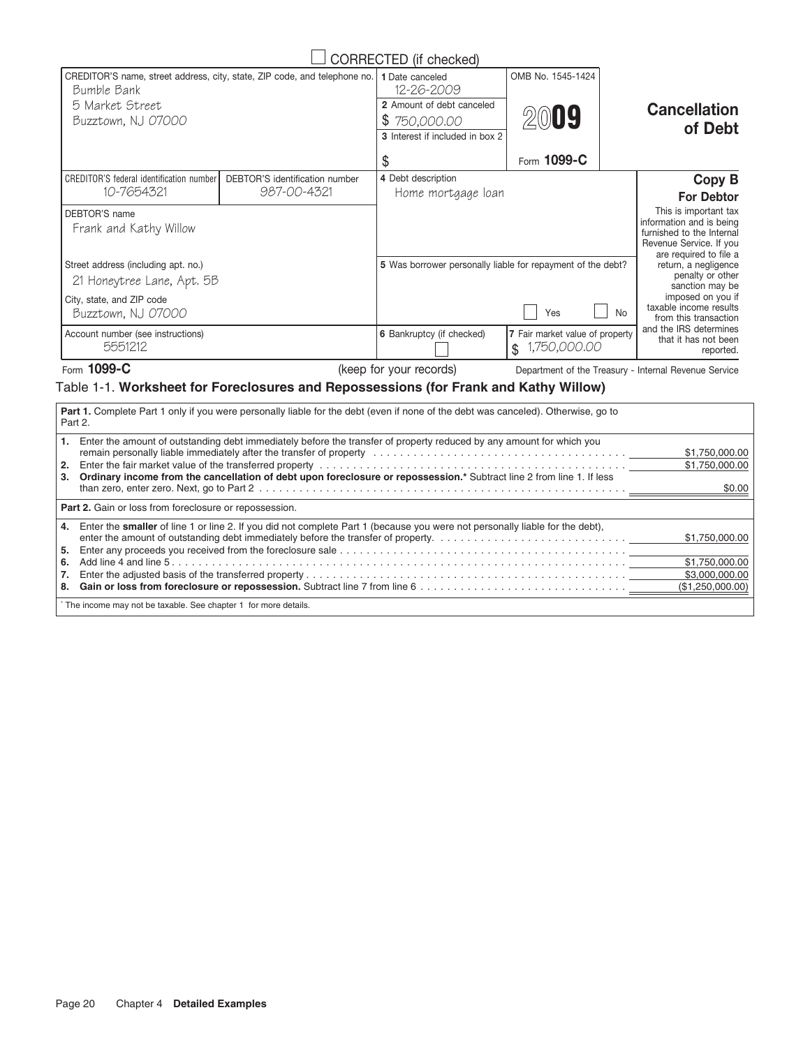| CORRECTED (if checked)                                                                                                            |                                               |                                                                                                               |                                                       |                                                                                                                                     |  |
|-----------------------------------------------------------------------------------------------------------------------------------|-----------------------------------------------|---------------------------------------------------------------------------------------------------------------|-------------------------------------------------------|-------------------------------------------------------------------------------------------------------------------------------------|--|
| CREDITOR'S name, street address, city, state, ZIP code, and telephone no.<br>Bumble Bank<br>5 Market Street<br>Buzztown, NJ 07000 |                                               | 1 Date canceled<br>12-26-2009<br>2 Amount of debt canceled<br>\$750,000.00<br>3 Interest if included in box 2 | OMB No. 1545-1424<br>2009                             | <b>Cancellation</b><br>of Debt                                                                                                      |  |
|                                                                                                                                   |                                               | \$                                                                                                            | Form 1099-C                                           |                                                                                                                                     |  |
| <b>CREDITOR'S federal identification number</b><br>10-7654321                                                                     | DEBTOR'S identification number<br>987-00-4321 | 4 Debt description<br>Home mortgage loan                                                                      |                                                       | <b>Copy B</b><br><b>For Debtor</b>                                                                                                  |  |
| DEBTOR'S name<br>Frank and Kathy Willow                                                                                           |                                               |                                                                                                               |                                                       | This is important tax<br>information and is being<br>furnished to the Internal<br>Revenue Service. If you<br>are required to file a |  |
| Street address (including apt. no.)<br>21 Honeytree Lane, Apt. 5B                                                                 |                                               | 5 Was borrower personally liable for repayment of the debt?                                                   |                                                       | return, a negligence<br>penalty or other<br>sanction may be                                                                         |  |
| City, state, and ZIP code<br>Buzztown, NJ 07000                                                                                   |                                               |                                                                                                               | Yes                                                   | imposed on you if<br>taxable income results<br><b>No</b><br>from this transaction                                                   |  |
| Account number (see instructions)<br>5551212                                                                                      |                                               | <b>6</b> Bankruptcy (if checked)                                                                              | 7 Fair market value of property<br>1,750,000.00<br>\$ | and the IRS determines<br>that it has not been<br>reported.                                                                         |  |

Form 1099-C **C** and The Compartment of the Treasury - Internal Revenue Service (keep for your records)

## Table 1-1. **Worksheet for Foreclosures and Repossessions (for Frank and Kathy Willow)**

| <b>Part 1.</b> Complete Part 1 only if you were personally liable for the debt (even if none of the debt was canceled). Otherwise, go to<br>Part 2.                                                                                                                                                                                                                                                                                                                                               |                                            |  |  |
|---------------------------------------------------------------------------------------------------------------------------------------------------------------------------------------------------------------------------------------------------------------------------------------------------------------------------------------------------------------------------------------------------------------------------------------------------------------------------------------------------|--------------------------------------------|--|--|
| Enter the amount of outstanding debt immediately before the transfer of property reduced by any amount for which you<br>1.<br>remain personally liable immediately after the transfer of property with the state of the state of the state of property and the state of the state of the state of the state of the state of the state of the state of the st<br>2.<br>Ordinary income from the cancellation of debt upon foreclosure or repossession.* Subtract line 2 from line 1. If less<br>3. | \$1,750,000.00<br>\$1,750,000.00<br>\$0.00 |  |  |
| <b>Part 2.</b> Gain or loss from foreclosure or repossession.                                                                                                                                                                                                                                                                                                                                                                                                                                     |                                            |  |  |
| Enter the smaller of line 1 or line 2. If you did not complete Part 1 (because you were not personally liable for the debt),<br>4.<br>5.                                                                                                                                                                                                                                                                                                                                                          | \$1,750,000.00                             |  |  |
| 6.                                                                                                                                                                                                                                                                                                                                                                                                                                                                                                | \$1.750.000.00                             |  |  |
| 8.                                                                                                                                                                                                                                                                                                                                                                                                                                                                                                | \$3,000,000,00<br>(\$1,250,000.00)         |  |  |
| * The income may not be taxable. See chapter 1 for more details.                                                                                                                                                                                                                                                                                                                                                                                                                                  |                                            |  |  |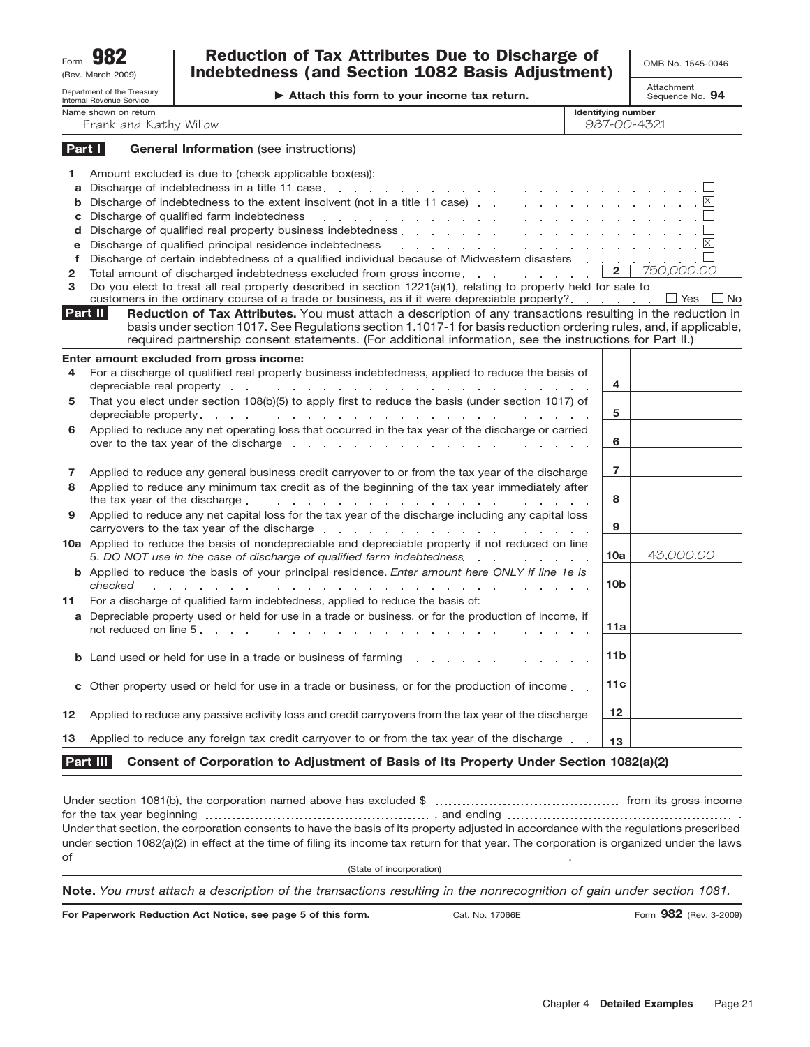| Form                                      | 982<br>(Rev. March 2009)                               | <b>Reduction of Tax Attributes Due to Discharge of</b><br><b>Indebtedness (and Section 1082 Basis Adjustment)</b>                                                                                                                                                                                                                                                                                                                                                                                                                                                                                                                                                                                                                                                                                                                                                                                                                                                                                                                                                                                                                                                                                                                                        |                                          | OMB No. 1545-0046                               |
|-------------------------------------------|--------------------------------------------------------|----------------------------------------------------------------------------------------------------------------------------------------------------------------------------------------------------------------------------------------------------------------------------------------------------------------------------------------------------------------------------------------------------------------------------------------------------------------------------------------------------------------------------------------------------------------------------------------------------------------------------------------------------------------------------------------------------------------------------------------------------------------------------------------------------------------------------------------------------------------------------------------------------------------------------------------------------------------------------------------------------------------------------------------------------------------------------------------------------------------------------------------------------------------------------------------------------------------------------------------------------------|------------------------------------------|-------------------------------------------------|
|                                           | Department of the Treasury<br>Internal Revenue Service | Attach this form to your income tax return.                                                                                                                                                                                                                                                                                                                                                                                                                                                                                                                                                                                                                                                                                                                                                                                                                                                                                                                                                                                                                                                                                                                                                                                                              |                                          | Attachment<br>Sequence No. 94                   |
|                                           | Name shown on return<br>Frank and Kathy Willow         |                                                                                                                                                                                                                                                                                                                                                                                                                                                                                                                                                                                                                                                                                                                                                                                                                                                                                                                                                                                                                                                                                                                                                                                                                                                          | <b>Identifying number</b><br>987-00-4321 |                                                 |
| Part I                                    |                                                        | <b>General Information</b> (see instructions)                                                                                                                                                                                                                                                                                                                                                                                                                                                                                                                                                                                                                                                                                                                                                                                                                                                                                                                                                                                                                                                                                                                                                                                                            |                                          |                                                 |
| 1<br>a<br>b<br>с<br>d<br>e<br>f<br>2<br>з |                                                        | Amount excluded is due to (check applicable box(es)):<br>Discharge of indebtedness in a title 11 case.<br>and the company of the company of the company of the company of the company of the company of the company of the company of the company of the company of the company of the company of the company of the company of the comp<br>Discharge of indebtedness to the extent insolvent (not in a title 11 case) enterpreteration of indeptedness to the extent insolvent (not in a title 11 case) enterpreteration of the control of the case of the case of the ca<br>Discharge of qualified farm indebtedness<br>المناور والمستقل والمستقل والمستقل والمستقل والمستقل والمستقل والمستقل والمستقل والمستقل<br>Discharge of qualified principal residence indebtedness<br>and a series of the contract of the contract of the contract of the contract of<br>Discharge of certain indebtedness of a qualified individual because of Midwestern disasters<br>Total amount of discharged indebtedness excluded from gross income.<br>Do you elect to treat all real property described in section 1221(a)(1), relating to property held for sale to<br>customers in the ordinary course of a trade or business, as if it were depreciable property? | $\mathbf{2}$                             | $ \times $<br>750,000.00<br>$\Box$ Yes<br>_  No |
|                                           | Part II                                                | Reduction of Tax Attributes. You must attach a description of any transactions resulting in the reduction in<br>basis under section 1017. See Regulations section 1.1017-1 for basis reduction ordering rules, and, if applicable,<br>required partnership consent statements. (For additional information, see the instructions for Part II.)                                                                                                                                                                                                                                                                                                                                                                                                                                                                                                                                                                                                                                                                                                                                                                                                                                                                                                           |                                          |                                                 |
| 4                                         |                                                        | Enter amount excluded from gross income:<br>For a discharge of qualified real property business indebtedness, applied to reduce the basis of<br>depreciable real property entering to the contract of the contract of the contract of the contract of the contract of the contract of the contract of the contract of the contract of the contract of the contract of the cont                                                                                                                                                                                                                                                                                                                                                                                                                                                                                                                                                                                                                                                                                                                                                                                                                                                                           | 4                                        |                                                 |
| 5                                         |                                                        | That you elect under section 108(b)(5) to apply first to reduce the basis (under section 1017) of                                                                                                                                                                                                                                                                                                                                                                                                                                                                                                                                                                                                                                                                                                                                                                                                                                                                                                                                                                                                                                                                                                                                                        | 5                                        |                                                 |
| 6                                         |                                                        | Applied to reduce any net operating loss that occurred in the tax year of the discharge or carried<br>over to the tax year of the discharge resolution and the state of the discharge resolution and the state of the state of the state of the state of the state of the state of the state of the state of the state of the state                                                                                                                                                                                                                                                                                                                                                                                                                                                                                                                                                                                                                                                                                                                                                                                                                                                                                                                      | 6                                        |                                                 |
| 7<br>8                                    |                                                        | Applied to reduce any general business credit carryover to or from the tax year of the discharge<br>Applied to reduce any minimum tax credit as of the beginning of the tax year immediately after<br>the tax year of the discharge expansion of the discharge expansion of the discharge expansion of the tax is a set of the tax is a set of the tax is a set of the tax is a set of the tax is a set of the tax is a set of the t                                                                                                                                                                                                                                                                                                                                                                                                                                                                                                                                                                                                                                                                                                                                                                                                                     | 7<br>8                                   |                                                 |
| 9                                         |                                                        | Applied to reduce any net capital loss for the tax year of the discharge including any capital loss<br>carryovers to the tax year of the discharge enters and a set of the discharge of the contract of the discharge of the contract of the contract of the contract of the contract of the contract of the contract of the contract                                                                                                                                                                                                                                                                                                                                                                                                                                                                                                                                                                                                                                                                                                                                                                                                                                                                                                                    | 9                                        |                                                 |
|                                           |                                                        | 10a Applied to reduce the basis of nondepreciable and depreciable property if not reduced on line<br>5. DO NOT use in the case of discharge of qualified farm indebtedness.<br><b>b</b> Applied to reduce the basis of your principal residence. Enter amount here ONLY if line 1e is                                                                                                                                                                                                                                                                                                                                                                                                                                                                                                                                                                                                                                                                                                                                                                                                                                                                                                                                                                    | 10a                                      | 43,000.00                                       |
| 11                                        | checked                                                | For a discharge of qualified farm indebtedness, applied to reduce the basis of:                                                                                                                                                                                                                                                                                                                                                                                                                                                                                                                                                                                                                                                                                                                                                                                                                                                                                                                                                                                                                                                                                                                                                                          | 10 <sub>b</sub>                          |                                                 |
|                                           |                                                        | a Depreciable property used or held for use in a trade or business, or for the production of income, if                                                                                                                                                                                                                                                                                                                                                                                                                                                                                                                                                                                                                                                                                                                                                                                                                                                                                                                                                                                                                                                                                                                                                  | 11a                                      |                                                 |
| b                                         |                                                        | Land used or held for use in a trade or business of farming                                                                                                                                                                                                                                                                                                                                                                                                                                                                                                                                                                                                                                                                                                                                                                                                                                                                                                                                                                                                                                                                                                                                                                                              | 11b                                      |                                                 |
| с                                         |                                                        | Other property used or held for use in a trade or business, or for the production of income.                                                                                                                                                                                                                                                                                                                                                                                                                                                                                                                                                                                                                                                                                                                                                                                                                                                                                                                                                                                                                                                                                                                                                             | 11c                                      |                                                 |
| 12                                        |                                                        | Applied to reduce any passive activity loss and credit carryovers from the tax year of the discharge                                                                                                                                                                                                                                                                                                                                                                                                                                                                                                                                                                                                                                                                                                                                                                                                                                                                                                                                                                                                                                                                                                                                                     | 12                                       |                                                 |
| 13                                        |                                                        | Applied to reduce any foreign tax credit carryover to or from the tax year of the discharge.                                                                                                                                                                                                                                                                                                                                                                                                                                                                                                                                                                                                                                                                                                                                                                                                                                                                                                                                                                                                                                                                                                                                                             | 13                                       |                                                 |

|         | c Other property used or held for use in a trade or business, or for the production of income        | 11c              |  |
|---------|------------------------------------------------------------------------------------------------------|------------------|--|
| $12 \,$ | Applied to reduce any passive activity loss and credit carryovers from the tax year of the discharge | 12 <sup>12</sup> |  |

## **Consent of Corporation to Adjustment of Basis of Its Property Under Section 1082(a)(2) Part III**

| Under that section, the corporation consents to have the basis of its property adjusted in accordance with the regulations prescribed<br>under section 1082(a)(2) in effect at the time of filing its income tax return for that year. The corporation is organized under the laws |  |
|------------------------------------------------------------------------------------------------------------------------------------------------------------------------------------------------------------------------------------------------------------------------------------|--|
| (State of incorporation)                                                                                                                                                                                                                                                           |  |

**Note.** *You must attach a description of the transactions resulting in the nonrecognition of gain under section 1081.*

**For Paperwork Reduction Act Notice, see page 5 of this form.**

Cat. No. 17066E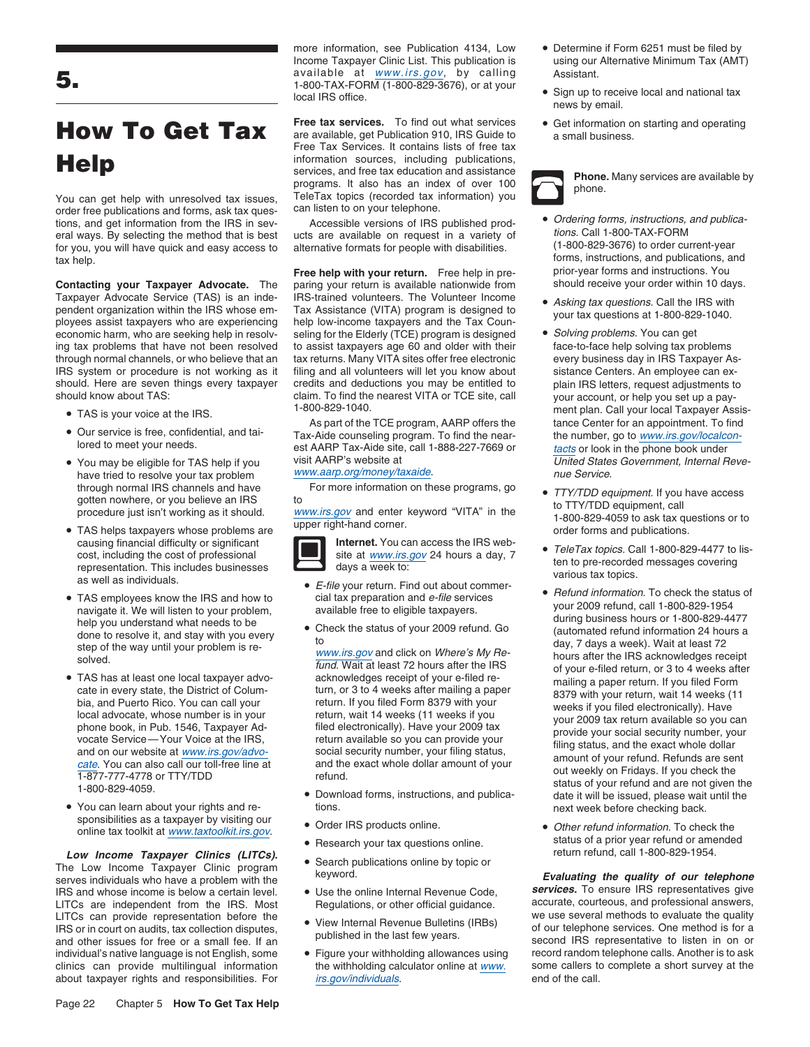You can get help with unresolved tax issues, TeleTax topics (recorded tax in<br>order free publications and forms, ask tax ques- can listen to on your telephone. order free publications and forms, ask tax questions, and get information from the IRS in sev-<br>eral ways. By selecting the method that is bestand that is are available on request in a variety of tions. Call 1-800-TAX-FORM eral ways. By selecting the method that is best ucts are available on request in a variety of the tions. Call 1-800-TAX-FORM<br>for you, you will have quick and easy access to alternative formats for people with disabilities for you, you will have quick and easy access to alternative formats for people with disabilities.

**Contacting your Taxpayer Advocate.** The paring your return is available nationwide from Taxpayer Advocate Service (TAS) is an inde-<br>
IRS-trained volunteers. The Volunteer Income Taxpayer Advocate Service (TAS) is an inde-<br>
pendent organization within the IRS whose em-<br>
Tax Assistance (VITA) program is designed to<br>
your tax questions at 1,900,900,1040 pendent organization within the IRS whose em-<br>ployees assist taxpayers who are experiencing help low-income taxpayers and the Tax Coun-<br>economic harm, who are seeking help in resolv-<br>seling for the Elderly (TCE) program is economic harm, who are seeking help in resolv-<br>
ing tax problems that have not been resolved to assist taxpayers age 60 and older with their<br>
face-to-face help solving tax problems through normal channels, or who believe that an tax returns. Many VITA sites offer free electronic every business day in IRS Taxpayer As-<br>IRS system or procedure is not working as it filing and all volunteers will let you IRS system or procedure is not working as it filing and all volunteers will let you know about sistance Centers. An employee can ex-<br>should. Here are seven things every taxpayer credits and deductions you may be entitled t

- 
- •
- have tried to resolve your tax problem www.aarp.org/money/taxaide. The manner of the Service. through normal IRS channels and have For more information on these programs, go • TTY/TDD equipment. If you have access gotten nowhere, or you believe an IRS to
- TAS helps taxpayers whose problems are<br>
causing financial difficulty or significant<br> **order forms** and publications.<br> **Internet.** You can access the IRS web-<br>
Tele Teu taxies Cell 1,900,900 causing financial difficulty or significant **Internet.** You can access the IRS web-<br>cost. including the cost of professional site at www.irs.gov 24 hours a day, 7 **•** TeleTax topics. Call 1-800-829-4477 to lis-E-file your return Find out about commer-<br>as well as individuals.<br>as well as individuals.<br>as well as individuals.
- 
- TAS has at least one local taxpayer advo-
- You can learn about your rights and re- tions. next week before checking back. sponsibilities as a taxpayer by visiting our • Order IRS products online.

**Low Income Taxpayer Clinics (LITCs).** • Search publications online by topic or The Low Income Taxpayer Clinic program Search publications of the Low Income Taxpayer Clinic program keyword.<br>Serves individuals who have a problem with the serves individuals who have a problem with the publications in<br>IRS and whose income is helow a certain l IRS and whose income is below a certain level. <br>LITCs are independent from the IRS, Most Begulations, or other official guidance. accurate, courteous, and professional answers, LITCs are independent from the IRS. Most Regulations, or other official guidance. accurate, courteous, and professional answers, under the state of the state of the state of the state of the state of the state of the quali LITCs can provide representation before the vertile of the view internal Revenue Bulletins (IRBs) we use several methods to evaluate the quality in ES or in court on audits tax collection disputes. IRS or in court on audits, tax collection disputes,<br>and other issues for free or a small fee. If an and other issues for free or a small fee. If an and other issues for free or a small fee. If an individual's native language is not English, some • Figure your withholding allowances using record random telephone calls. Another is to ask clinics can provide multilingual information the withholding calculator online a clinics can provide multilingual information

Income Taxpayer Clinic List. This publication is using our Alternative Minimum Tax (AMT)<br>available at www.irs.gov, by calling Assistant. available at www.irs.gov, by calling Assistant. **5.** 1-800-TAX-FORM (1-800-829-3676), or at your •

Free tax services. To find out what services • Get information on starting and operating **How To Get Tax** Free tax services. To find out what services  $\bullet$  Get information on  $\bullet$  Get information of a small business. Free Tax Services. It contains lists of free tax **Help** information sources, including publications,<br>services, and free tax education and assistance services, and free tax education and assistance<br>programs. It also has an index of over 100 phone.<br>TeleTax topics (recorded tax information) you

**Free help with your return.** Free help in pre- prior-year forms and instructions. You<br>paring your return is available nationwide from should receive your order within 10 days. to assist taxpayers age 60 and older with their credits and deductions you may be entitled to plain IRS letters, request adjustments to should know about TAS: claim. To find the nearest VITA or TCE site, call your account, or help you set up a pay-<br>1-800-829-1040. The state of the nearest VITA or TCE site, call your account, or help you set up a pay-

The is your voice at the IRS.<br>Our service is free, confidential, and tai-<br>Tax-Aide counseling program. To find the near-<br>the number on to www.irs.gov/localcon-Our service is free, confidential, and tai-<br>lored to meet your needs.<br>You may be eligible for TAS belp if you visit AARP Tax-Aide site, call 1-888-227-7669 or<br>You may be eligible for TAS belp if you visit AARP's website at



- E-file your return. Find out about commer-<br>cial tax preparation and e-file services<br>
 Refund information. To check the status of TAS employees know the IRS and how to cial tax preparation and *e-file* services extinently our 2009 refund information. To check the status of the status of the status of the status of the status of the status of the stat
	-

- Download forms, instructions, and publica-<br>tions<br>novt week before checking back
- 
- Research your tax questions online.
- 
- 
- 
- about taxpayer rights and responsibilities. For irs.gov/individuals. end of the call.
- more information, see Publication 4134, Low Determine if Form 6251 must be filed by
	- Sign up to receive local and national tax news by email.
	-

- Ordering forms, instructions, and publicatax help. **forms**, instructions, and publications, and publications, and **Free help with your return**. Free help in pre-<br>**Free help with your return**. Free help in pre-<br>prior-year forms and instructions. You
	-
	- TAS is your voice at the IRS. 1-800-829-1040. TAS is your voice at the IRS. • You may be eligible for TAS help if you visit AARP's website at United States Government, Internal Reve-
	- gotten nowhere, or you believe an IRS<br>procedure just isn't working as it should.<br>The momentum of these programs, you is a proportional of the section of the transmution of the section of the<br>The moment, call<br>The moment of
		-
	- navigate it. We will listen to your problem,<br>help you understand what needs to be<br>during business hours or 1-800-829-4477<br>done to resolve it, and stay with you every Figure 1.5 and stay with you every<br>start what he case of the status of your 2009 refund. Go (automated refund information 24 hours a<br>step of the way until your problem is re-<br>step of the way until your problem is re-<br>step • TAS has at least one local taxpayer advocate, whose number of the unit of Column and The District of Column and I your certain and Puerto Rico. You can call your and I your and I you can call your setter mailing a paper
		- Order IRS products online.<br>
		 Order IRS products online.<br>
		 Products online tax toolkit at www.taxtoolkit.irs.gov.<br>
		 Research your tax questions online.<br>
		 Research your tax questions online.<br>
		 Products online tax to a p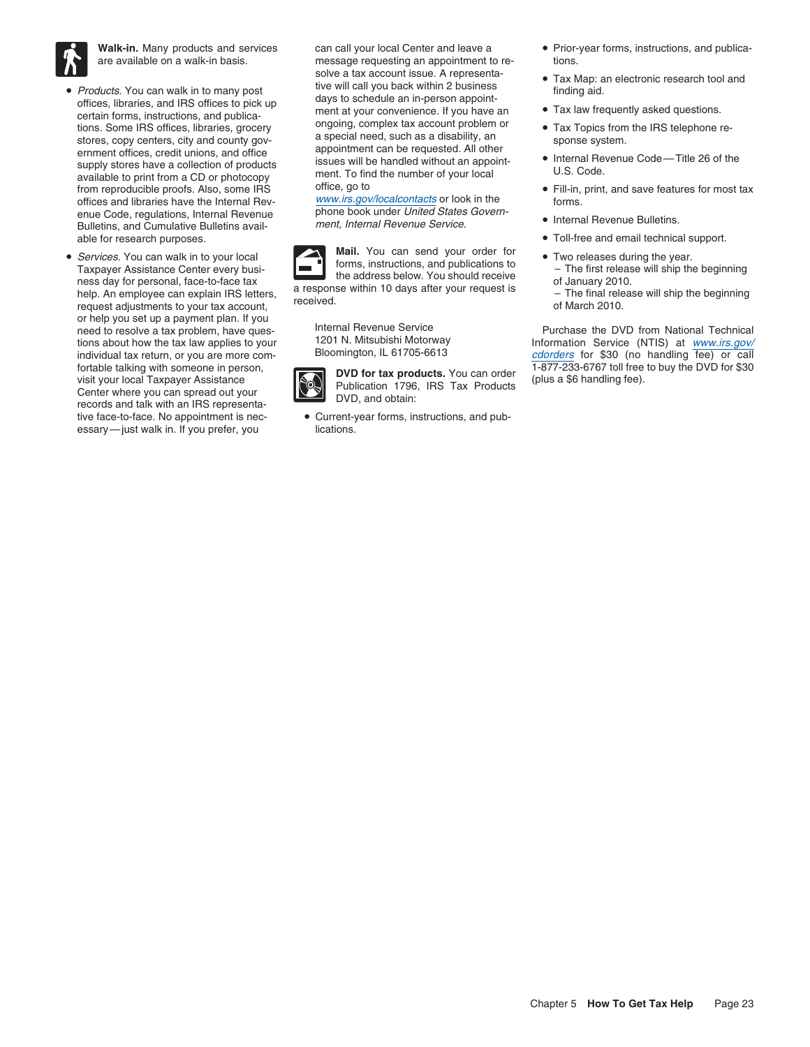

- Products. You can walk in to many post<br>
offices, libraries, and IRS offices to pick up<br>
certain forms, instructions, and publica-<br>
tions. Some IRS offices, libraries, grocery<br>
tions. Some IRS offices, libraries, grocery<br> available to print from a CD or photocopy ment. I o find the number of your local<br>from reproducible proofs. Also, some IRS office, go to **•** Fill-in, print, and save features for most tax<br>offices and libraries have the Int offices and libraries have the Internal Revenue Code, regulations, Internal Revenue phone book under United States Govern-<br>Bulletins, and Cumulative Bulletins avail-<br>ment, Internal Revenue Service. ment, Internal Revenue Service • Internal Revenue Bulletins. Bulletins, and Cumulative Bulletins avail- . able for research purposes. • Toll-free and email technical support. • Toll-free and email technical support.
- Services. You can walk in to your local Taxpayer Assistance Center every busi-<br>
Taxpayer Assistance Center every busi-<br>
the address below. You should receive<br>
the address below. You should receive<br>
the address below. You or help you set up a payment plan. If you fortable talking with someone in person,<br>visit your local Taxpayer Assistance<br>Center where you can spread out your<br>records and talk with an IRS representa-<br>records and talk with an IRS representa-<br>DVD, and obtain: essary-just walk in. If you prefer, you lications.

are available on a walk-in basis. The sume stage requesting an appointment to resolve a tax account issue. A representa-<br>  $\bullet$  Tax Map: an electronic research tool and • Products. You can walk in to many post tive will call you back within 2 business finding aid.<br>
offices libraries and IPS offices to pick up days to schedule an in-person appoint-

• *Services*. You can walk in to your local **Mail.** You can send your order for **• Mail.** You can send your order for **Forms**, instructions, and publications to



tive face-to-face. No appointment is nec- • Current-year forms, instructions, and pub-

- Walk-in. Many products and services can call your local Center and leave a Prior-year forms, instructions, and publica-
	-
	-
	-
	-
	-
	-
	-
	-
	-

need to resolve a tax problem, have ques-<br>
Internal Revenue Service Theory Purchase the DVD from National Technical<br>
Information Service (NTIS) at www.irs.gov tions about how the tax law applies to your 1201 N. Mitsubishi Motorway Information Service (NTIS) at www.irs.gov/<br>individual tax return or you are more com- Bloomington, IL 61705-6613 cdorders for \$30 (no bandling fee) or individual tax return, or you are more com-<br>fortable talking with someone in person, **complete that the products** You can arder from the T<sup>-877-233-6767 toll free to buy the DVD for \$30</sup>